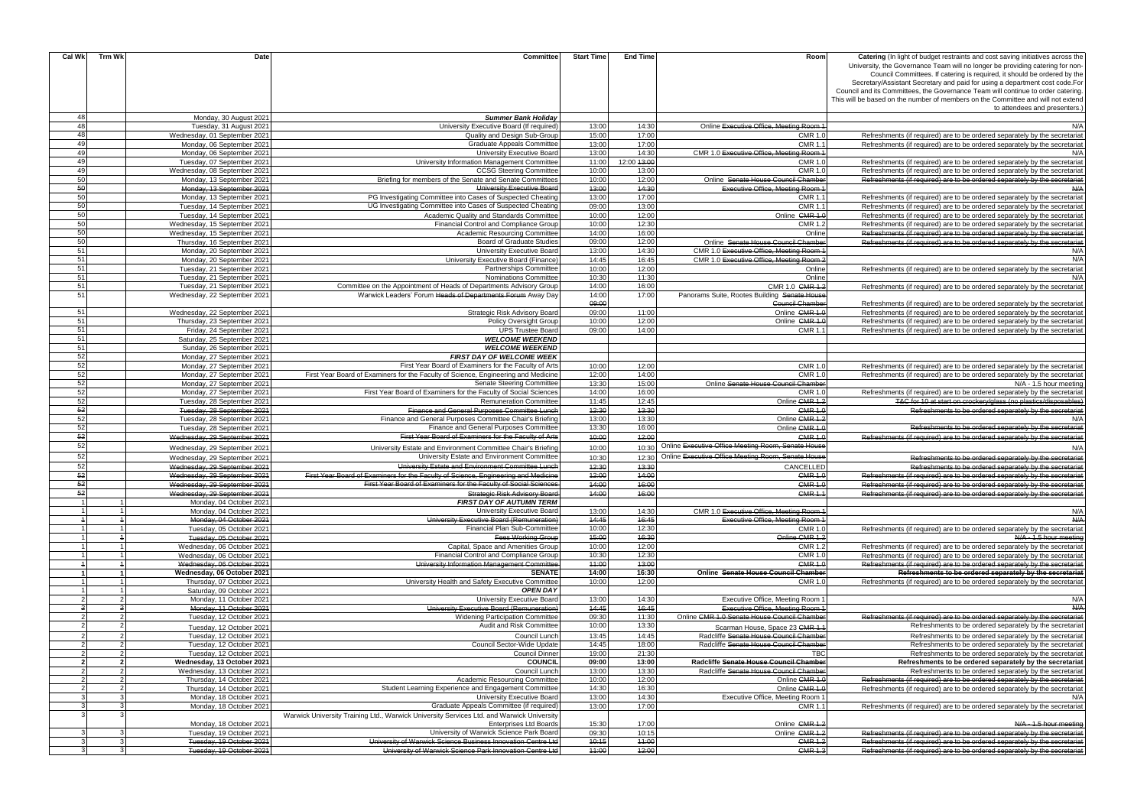| Cal Wk         | Trm Wk | Date                         | Committee                                                                                 | <b>Start Time</b> | <b>End Time</b> | Room                                               | <b>Catering</b> (In light of budget restraints and cost saving initiatives across the |
|----------------|--------|------------------------------|-------------------------------------------------------------------------------------------|-------------------|-----------------|----------------------------------------------------|---------------------------------------------------------------------------------------|
|                |        |                              |                                                                                           |                   |                 |                                                    | University, the Governance Team will no longer be providing catering for non-         |
|                |        |                              |                                                                                           |                   |                 |                                                    | Council Committees. If catering is required, it should be ordered by the              |
|                |        |                              |                                                                                           |                   |                 |                                                    | Secretary/Assistant Secretary and paid for using a department cost code. For          |
|                |        |                              |                                                                                           |                   |                 |                                                    | Council and its Committees, the Governance Team will continue to order catering.      |
|                |        |                              |                                                                                           |                   |                 |                                                    | This will be based on the number of members on the Committee and will not extend      |
|                |        |                              |                                                                                           |                   |                 |                                                    | to attendees and presenters.)                                                         |
| 48             |        |                              |                                                                                           |                   |                 |                                                    |                                                                                       |
|                |        | Monday, 30 August 2021       | <b>Summer Bank Holiday</b>                                                                |                   |                 |                                                    |                                                                                       |
| 48             |        | Tuesday, 31 August 2021      | University Executive Board (If required)                                                  | 13:00             | 14:30           | Online Executive Office, Meeting Room 1            | N/A                                                                                   |
| 48             |        | Wednesday, 01 September 2021 | Quality and Design Sub-Group                                                              | 15:00             | 17:00           | <b>CMR 1.0</b>                                     | Refreshments (if required) are to be ordered separately by the secretariat            |
| 49             |        | Monday, 06 September 2021    | <b>Graduate Appeals Committee</b>                                                         | 13:00             | 17:00           | CMR $1$ .                                          | Refreshments (if required) are to be ordered separately by the secretariation         |
| 49             |        | Monday, 06 September 2021    | University Executive Board                                                                | 13:00             | 14:30           | CMR 1.0 Executive Office. Meeting Room 1           | N/A                                                                                   |
| 49             |        | Tuesday, 07 September 2021   | University Information Management Committee                                               | 11:00             | 12:00 43:00     | CMR 1.                                             | Refreshments (if required) are to be ordered separately by the secretariat            |
| 49             |        | Wednesday, 08 September 2021 | <b>CCSG Steering Committee</b>                                                            | 10:00             | 13:00           | CMR 1.                                             | Refreshments (if required) are to be ordered separately by the secretariat            |
| 50             |        | Monday, 13 September 2021    | Briefing for members of the Senate and Senate Committees                                  | 10:00             | 12:00           | Online Senate House Council Chamber                | Refreshments (if required) are to be ordered separately by the secretariat            |
| 50             |        | Monday, 13 September 2021    | University Executive Board                                                                | 43:00             | 44:30           | <b>Executive Office, Meeting Room 1</b>            | A                                                                                     |
| 50             |        | Monday, 13 September 2021    | PG Investigating Committee into Cases of Suspected Cheating                               | 13:00             | 17:00           | CMR 1.1                                            | Refreshments (if required) are to be ordered separately by the secretariat            |
| 50             |        | Tuesday, 14 September 2021   | UG Investigating Committee into Cases of Suspected Cheating                               | 09:00             | 13:00           | CMR 1.1                                            | Refreshments (if required) are to be ordered separately by the secretarial            |
| 50             |        | Tuesday, 14 September 2021   | Academic Quality and Standards Committee                                                  | 10:00             | 12:00           | Online CMR 1.0                                     | Refreshments (if required) are to be ordered separately by the secretariat            |
| 50             |        | Wednesday, 15 September 2021 | Financial Control and Compliance Group                                                    | 10:00             | 12:30           | <b>CMR 1.2</b>                                     | Refreshments (if required) are to be ordered separately by the secretaria             |
| 50             |        | Wednesday, 15 September 2021 |                                                                                           | 14:00             | 16:00           | Online                                             | Refreshments (if required) are to be ordered separately by the secretaria             |
| 50             |        |                              | Academic Resourcing Committee<br><b>Board of Graduate Studies</b>                         | 09:00             | 12:00           |                                                    |                                                                                       |
|                |        | Thursday, 16 September 2021  |                                                                                           |                   |                 | Online Senate House Council Chamber                | Refreshments (if required) are to be ordered separately by the secretaria             |
| 51             |        | Monday, 20 September 2021    | University Executive Board                                                                | 13:00             | 14:30           | CMR 1.0 Executive Office. Meeting Room 1           | N/A                                                                                   |
| 51             |        | Monday, 20 September 2021    | University Executive Board (Finance)                                                      | 14:45             | 16:45           | CMR 1.0 Executive Office, Meeting Room 2           | N/A                                                                                   |
| 51             |        | Tuesday, 21 September 2021   | Partnerships Committee                                                                    | 10:00             | 12:00           | Online                                             | Refreshments (if required) are to be ordered separately by the secretariat            |
| 51             |        | Tuesday, 21 September 2021   | <b>Nominations Committee</b>                                                              | 10:30             | 11:30           | Online                                             | N/A                                                                                   |
| 51             |        | Tuesday, 21 September 2021   | Committee on the Appointment of Heads of Departments Advisory Group                       | 14:00             | 16:00           | CMR 1.0 CMR 1.2                                    | Refreshments (if required) are to be ordered separately by the secretariat            |
| 51             |        | Wednesday, 22 September 2021 | Warwick Leaders' Forum Heads of Departments Forum Away Day                                | 14:00             | 17:00           | Panorams Suite, Rootes Building Senate House       |                                                                                       |
|                |        |                              |                                                                                           | 09:00             |                 | <b>Council Chamber</b>                             | Refreshments (if required) are to be ordered separately by the secretariat            |
| 51             |        | Wednesday, 22 September 2021 | <b>Strategic Risk Advisory Board</b>                                                      | 09:00             | 11:00           | Online CMR 1.0                                     | Refreshments (if required) are to be ordered separately by the secretariat            |
| 51             |        | Thursday, 23 September 2021  | Policy Oversight Group                                                                    | 10:00             | 12:00           | Online CMR 1.                                      | Refreshments (if required) are to be ordered separately by the secretariat            |
| 51             |        | Friday, 24 September 2021    | <b>UPS Trustee Board</b>                                                                  | 09:00             | 14:00           | <b>CMR 1.</b>                                      | Refreshments (if required) are to be ordered separately by the secretariat            |
| 51             |        | Saturday, 25 September 2021  | <b>WELCOME WEEKEND</b>                                                                    |                   |                 |                                                    |                                                                                       |
| 51             |        | Sunday, 26 September 2021    | <b>WELCOME WEEKEND</b>                                                                    |                   |                 |                                                    |                                                                                       |
| 52             |        | Monday, 27 September 2021    | <b>FIRST DAY OF WELCOME WEEK</b>                                                          |                   |                 |                                                    |                                                                                       |
| 52             |        | Monday, 27 September 2021    | First Year Board of Examiners for the Faculty of Arts                                     | 10:00             | 12:00           | <b>CMR 1.0</b>                                     | Refreshments (if required) are to be ordered separately by the secretaria             |
| 52             |        |                              | First Year Board of Examiners for the Faculty of Science, Engineering and Medicine        | 12:00             | 14:00           | <b>CMR 1.0</b>                                     | Refreshments (if required) are to be ordered separately by the secretaria             |
| 52             |        | Monday, 27 September 2021    |                                                                                           |                   |                 |                                                    |                                                                                       |
|                |        | Monday, 27 September 2021    | Senate Steering Committee                                                                 | 13:30             | 15:00           | Online Senate House Council Chamber                | N/A - 1.5 hour meeting                                                                |
| 52             |        | Monday, 27 September 2021    | First Year Board of Examiners for the Faculty of Social Sciences                          | 14:00             | 16:00           | <b>CMR 1.0</b>                                     | Refreshments (if required) are to be ordered separately by the secretariation         |
| 52             |        | Tuesday, 28 September 2021   | <b>Remuneration Committee</b>                                                             | 11:45             | 12:45           | Online GMR 1.2                                     | T&C for 10 at start on crockery/glass (no plastics/disposables)                       |
| 52             |        | Tuesday, 28 September 2021   | Finance and General Purposes Committee Lunch                                              | 42:30             | 13:30           | <b>CMR 1.0</b>                                     | Refreshments to be ordered separately by the secretariat                              |
| 52             |        | Tuesday, 28 September 2021   | Finance and General Purposes Committee Chair's Briefing                                   | 13:00             | 13:30           | Online CMR 1.2                                     | N/A                                                                                   |
| 52             |        | Tuesday, 28 September 2021   | Finance and General Purposes Committee                                                    | 13:30             | 16:00           | Online CMR 1.0                                     | Refreshments to be ordered separately by the secretariat                              |
| 52             |        | Wednesday, 29 September 2021 | First Year Board of Examiners for the Faculty of Arts                                     | 40:00             | 42:00           | <b>CMR 1.0</b>                                     | Refreshments (if required) are to be ordered separately by the secretariat            |
| 52             |        | Wednesday, 29 September 2021 | University Estate and Environment Committee Chair's Briefing                              | 10:00             | 10:30           | Online Executive Office Meeting Room, Senate House | N/A                                                                                   |
| 52             |        |                              | University Estate and Environment Committee                                               | 10:30             |                 | Online Executive Office Meeting Room, Senate House |                                                                                       |
|                |        | Wednesday, 29 September 2021 |                                                                                           |                   | 12:30<br>13:30  |                                                    | Refreshments to be ordered separately by the secretariat                              |
| 52             |        | Wednesday, 29 September 2021 | University Estate and Environment Committee Lunch                                         | 42:30             |                 | CANCELLED                                          | Refreshments to be ordered separately by the secretaria                               |
| 52             |        | Wednesday, 29 September 2021 | First Year Board of Examiners for the Faculty of Science. Engineering and Medicine        | 42:00             | 44:00           | <b>CMR 1.0</b>                                     | Refreshments (if required) are to be ordered separately by the secretaria             |
| 52             |        | Wednesday, 29 September 2021 | First Year Board of Examiners for the Faculty of Social Sciences                          | 44:00             | 46:00           | $CMR$ 1.0                                          | Refreshments (if required) are to be ordered separately by the secretaria             |
| 52             |        | Wednesday, 29 September 2021 | <b>Strategic Risk Advisory Board</b>                                                      | 44:00             | 16:00           | <b>CMR 1.1</b>                                     | Refreshments (if required) are to be ordered separately by the secretariat            |
|                |        | Monday, 04 October 2021      | <b>FIRST DAY OF AUTUMN TERM</b>                                                           |                   |                 |                                                    |                                                                                       |
|                |        | Monday, 04 October 2021      | University Executive Board                                                                | 13:00             | 14:30           | CMR 1.0 Executive Office, Meeting Room 1           | N/A                                                                                   |
|                |        | Monday, 04 October 2021      | University Executive Board (Remuneration)                                                 | 14:45             | 16:45           | <b>Executive Office, Meeting Room 1</b>            | A/H                                                                                   |
|                |        | Tuesday, 05 October 2021     | Financial Plan Sub-Committee                                                              | 10:00             | 12:30           | CMR 1.                                             | Refreshments (if required) are to be ordered separately by the secretariat            |
|                |        | Tuesday, 05 October 2021     | <b>Fees Working Group</b>                                                                 | 45:00             | 16:30           | Online CMR 1.2                                     | N/A - 1.5 hour meeting                                                                |
|                |        | Wednesday, 06 October 2021   | Capital, Space and Amenities Group                                                        | 10:00             | 12:00           | <b>CMR 1.2</b>                                     | Refreshments (if required) are to be ordered separately by the secretariat            |
|                |        | Wednesday, 06 October 2021   | Financial Control and Compliance Group                                                    | 10:30             | 12:30           | <b>CMR 1.0</b>                                     | Refreshments (if required) are to be ordered separately by the secretariat            |
|                |        | Wednesday, 06 October 2021   | University Information Management Committee                                               | $+4:00$           | 43:00           | <b>CMR 1.0</b>                                     | Refreshments (if required) are to be ordered separately by the secretariat            |
|                |        | Wednesday, 06 October 2021   | <b>SENATE</b>                                                                             | 14:00             | 16:30           | Online Senate House Council Chamber                | Refreshments to be ordered separately by the secretariat                              |
|                |        | Thursday, 07 October 2021    | University Health and Safety Executive Committee                                          | 10:00             | 12:00           | <b>CMR 1.0</b>                                     | Refreshments (if required) are to be ordered separately by the secretariat            |
|                |        | Saturday, 09 October 2021    | <b>OPEN DAY</b>                                                                           |                   |                 |                                                    |                                                                                       |
| $\mathfrak{p}$ |        | Monday, 11 October 2021      | University Executive Board                                                                | 13:00             | 14:30           | Executive Office, Meeting Room 1                   | N/A                                                                                   |
|                |        | Monday, 11 October 2021      | University Executive Board (Remuneration)                                                 | 14:45             | 46:45           | <b>Executive Office, Meeting Room 1</b>            | A/A                                                                                   |
| $\mathcal{P}$  |        | Tuesday, 12 October 2021     | <b>Widening Participation Committee</b>                                                   | 09:30             | 11:30           | Online CMR 1.0 Senate House Council Chamber        | Refreshments (if required) are to be ordered separately by the secretariat            |
|                |        |                              | Audit and Risk Committee                                                                  | 10:00             | 13:30           |                                                    |                                                                                       |
|                |        | Tuesday, 12 October 2021     |                                                                                           |                   |                 | Scarman House, Space 23 CMR 1.                     | Refreshments to be ordered separately by the secretariat                              |
|                |        | Tuesday, 12 October 2021     | Council Lunch                                                                             | 13:45             | 14:45           | Radcliffe Senate House Council Chamber             | Refreshments to be ordered separately by the secretariat                              |
|                |        | Tuesday, 12 October 2021     | Council Sector-Wide Update                                                                | 14:45             | 18:00           | Radcliffe Senate House Council Chamber             | Refreshments to be ordered separately by the secretariat                              |
|                |        | Tuesday, 12 October 2021     | <b>Council Dinner</b>                                                                     | 19:00             | 21:30           | <b>TBC</b>                                         | Refreshments to be ordered separately by the secretariat                              |
| $2^{\circ}$    |        | Wednesday, 13 October 2021   | <b>COUNCIL</b>                                                                            | 09:00             | 13:00           | Radcliffe Senate House Council Chamber             | Refreshments to be ordered separately by the secretariat                              |
| $\overline{2}$ |        | Wednesday, 13 October 2021   | Council Lunch                                                                             | 13:00             | 13:30           | Radcliffe Senate House Council Chamber             | Refreshments to be ordered separately by the secretariat                              |
| $\overline{2}$ |        | Thursday, 14 October 2021    | Academic Resourcing Committee                                                             | 10:00             | 12:00           | Online CMR 1.0                                     | Refreshments (if required) are to be ordered separately by the secretariat            |
| $\overline{2}$ |        | Thursday, 14 October 2021    | Student Learning Experience and Engagement Committee                                      | 14:30             | 16:30           | Online CMR 1.0                                     | Refreshments (if required) are to be ordered separately by the secretariat            |
| 3              |        | Monday, 18 October 2021      | University Executive Board                                                                | 13:00             | 14:30           | Executive Office, Meeting Room 1                   | N/A                                                                                   |
| 3              |        | Monday, 18 October 2021      | Graduate Appeals Committee (if required)                                                  | 13:00             | 17:00           | <b>CMR 1.</b>                                      | Refreshments (if required) are to be ordered separately by the secretariat            |
|                |        |                              | Warwick University Training Ltd., Warwick University Services Ltd. and Warwick University |                   |                 |                                                    |                                                                                       |
|                |        | Monday, 18 October 2021      | <b>Enterprises Ltd Boards</b>                                                             | 15:30             | 17:00           | Online CMR 1.2                                     | N/A - 1.5 hour meeting                                                                |
|                |        | Tuesday, 19 October 2021     | University of Warwick Science Park Board                                                  | 09:30             | 10:15           | Online CMR 1.2                                     | Refreshments (if required) are to be ordered separately by the secretariat            |
| 3              |        | Tuesday, 19 October 2021     | University of Warwick Science Business Innovation Centre Ltd                              | 40:15             | 44:00           | <b>CMR 1.2</b>                                     | Refreshments (if required) are to be ordered separately by the secretariat            |
| 3 <sup>1</sup> |        | Tuesday, 19 October 2021     | University of Warwick Science Park Innovation Centre Ltd                                  | 44:00             | 42:00           | <b>CMR 1.3</b>                                     | Refreshments (if required) are to be ordered separately by the secretaria             |
|                |        |                              |                                                                                           |                   |                 |                                                    |                                                                                       |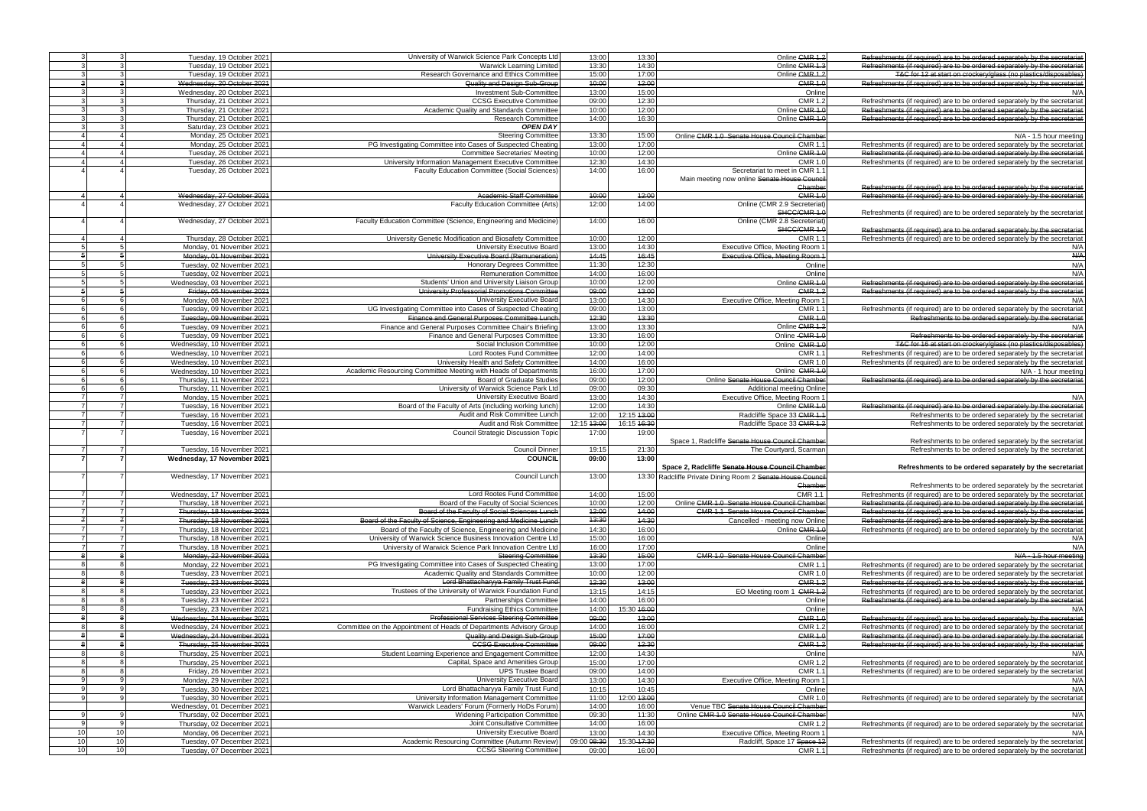|                                    | Tuesday, 19 October 2021                                                                     | University of Warwick Science Park Concepts Ltd                                 | 13:00                | 13:30                | Online CMR 1.2                                             | Refreshments (if required) are to be ordered separately by the secretaria                                                                                |
|------------------------------------|----------------------------------------------------------------------------------------------|---------------------------------------------------------------------------------|----------------------|----------------------|------------------------------------------------------------|----------------------------------------------------------------------------------------------------------------------------------------------------------|
|                                    | Tuesday, 19 October 2021                                                                     | <b>Warwick Learning Limited</b>                                                 | 13:30                | 14:30                | Online CMR 1.3                                             | Refreshments (if required) are to be ordered separately by the secretarial                                                                               |
|                                    | Tuesday, 19 October 2021                                                                     | Research Governance and Ethics Committee                                        | 15:00                | 17:00                | Online CMR 1.2                                             | T&C for 12 at start on crockery/glass (no plastics/disposables)                                                                                          |
|                                    | Wednesday, 20 October 2021<br>$\overline{3}$                                                 | Quality and Design Sub-Group                                                    | 40:00                | 42:00                | CMR 1.0                                                    | Refreshments (if required) are to be ordered separately by the secretariat                                                                               |
|                                    | $\mathcal{B}$<br>Wednesday, 20 October 2021                                                  | Investment Sub-Committee                                                        | 13:00                | 15:00                | Online                                                     | N/A                                                                                                                                                      |
|                                    | $\mathcal{R}$<br>Thursday, 21 October 2021                                                   | <b>CCSG Executive Committee</b>                                                 | 09:00                | 12:30                | CMR 1.2                                                    | Refreshments (if required) are to be ordered separately by the secretariation                                                                            |
|                                    | $\mathcal{A}$<br>Thursday, 21 October 2021                                                   | Academic Quality and Standards Committee                                        | 10:00                | 12:00                | Online CMR 1.                                              | Refreshments (if required) are to be ordered separately by the secretaria                                                                                |
|                                    | $\mathcal{A}$<br>Thursday, 21 October 2021                                                   | <b>Research Committee</b>                                                       | 14:00                | 16:30                | Online CMR 1.                                              | Refreshments (if required) are to be ordered separately by the secretaria                                                                                |
|                                    | $\mathcal{A}$<br>Saturday, 23 October 2021                                                   | <b>OPEN DAY</b>                                                                 |                      |                      |                                                            |                                                                                                                                                          |
|                                    | Monday, 25 October 2021                                                                      | <b>Steering Committee</b>                                                       | 13:30                | 15:00                | Online CMR 1.0 Senate House Council Chamber                | N/A - 1.5 hour meeting                                                                                                                                   |
|                                    | Monday, 25 October 2021                                                                      | PG Investigating Committee into Cases of Suspected Cheating                     | 13:00                | 17:00                | <b>CMR 1.</b>                                              | Refreshments (if required) are to be ordered separately by the secretaria                                                                                |
|                                    | Tuesday, 26 October 2021                                                                     | <b>Committee Secretaries' Meeting</b>                                           | 10:00                | 12:00                | Online CMR 1.                                              | Refreshments (if required) are to be ordered separately by the secretaria                                                                                |
|                                    | Tuesday, 26 October 2021                                                                     | University Information Management Executive Committee                           | 12:30                | 14:30                | CMR 1.                                                     | Refreshments (if required) are to be ordered separately by the secretaria                                                                                |
|                                    | Tuesday, 26 October 2021                                                                     | Faculty Education Committee (Social Sciences)                                   | 14:00                | 16:00                | Secretariat to meet in CMR 1.                              |                                                                                                                                                          |
|                                    |                                                                                              |                                                                                 |                      |                      | Main meeting now online Senate House Counc                 |                                                                                                                                                          |
|                                    |                                                                                              |                                                                                 |                      |                      |                                                            |                                                                                                                                                          |
|                                    |                                                                                              |                                                                                 |                      |                      | Chambe                                                     | Refreshments (if required) are to be ordered separately by the secretariat                                                                               |
|                                    | Wednesday, 27 October 2021                                                                   | <b>Academic Staff Committee</b>                                                 | 40:00                | 42:00                | <b>CMR 1.0</b>                                             | Refreshments (if required) are to be ordered separately by the secretariat                                                                               |
|                                    | Wednesday, 27 October 2021                                                                   | Faculty Education Committee (Arts)                                              | 12:00                | 14:00                | Online (CMR 2.9 Secreteriat                                |                                                                                                                                                          |
|                                    |                                                                                              |                                                                                 |                      |                      | SHCC/CMR 1.                                                | Refreshments (if required) are to be ordered separately by the secretariat                                                                               |
|                                    | Wednesday, 27 October 2021                                                                   | Faculty Education Committee (Science, Engineering and Medicine)                 | 14:00                | 16:00                | Online (CMR 2.8 Secreteriat                                |                                                                                                                                                          |
|                                    |                                                                                              |                                                                                 |                      |                      | SHCC/CMR 1.                                                | Refreshments (if required) are to be ordered separately by the secretariat                                                                               |
|                                    | Thursday, 28 October 2021                                                                    | University Genetic Modification and Biosafety Committee                         | 10:00                | 12:00                | CMR <sub>1</sub>                                           | Refreshments (if required) are to be ordered separately by the secretariat                                                                               |
|                                    | Monday, 01 November 2021                                                                     | University Executive Board                                                      | 13:00                | 14:30                | Executive Office, Meeting Room                             | N/A                                                                                                                                                      |
|                                    | Monday, 01 November 2021                                                                     | University Executive Board (Remuneration)                                       | 44:45                | 46:45                | Executive Office, Meeting Room 1                           | A/H                                                                                                                                                      |
|                                    | -51<br>Tuesday, 02 November 2021                                                             | <b>Honorary Degrees Committee</b>                                               | 11:30                | 12:30                | Online                                                     | N/A                                                                                                                                                      |
|                                    | 5<br>Tuesday, 02 November 2021                                                               | <b>Remuneration Committee</b>                                                   | 14:00                | 16:00                | Online                                                     | N/A                                                                                                                                                      |
|                                    | 5<br>Wednesday, 03 November 2021                                                             | Students' Union and University Liaison Group                                    | 10:00                | 12:00                | Online CMR 1.                                              | Refreshments (if required) are to be ordered separately by the secretariat                                                                               |
|                                    | $-5$<br>Friday, 05 November 2021                                                             | University Professorial Promotions Committee                                    | 09:00                | 43:00                | CMR <sub>1.2</sub>                                         | Refreshments (if required) are to be ordered separately by the secretariat                                                                               |
|                                    | -6<br>Monday, 08 November 2021                                                               | University Executive Board                                                      | 13:00                | 14:30                | Executive Office, Meeting Room                             | N/A                                                                                                                                                      |
|                                    | 6 <sup>1</sup>                                                                               | UG Investigating Committee into Cases of Suspected Cheating                     | 09:00                | 13:00                | CMR 1.                                                     |                                                                                                                                                          |
|                                    | Tuesday, 09 November 2021                                                                    |                                                                                 |                      |                      |                                                            | Refreshments (if required) are to be ordered separately by the secretaria                                                                                |
|                                    | <b>6</b><br>Tuesday, 09 November 2021                                                        | Finance and General Purposes Committee Lunch                                    | 42:30                | 43:30                | <b>CMR 1.0</b>                                             | Refreshments to be ordered separately by the secretariat                                                                                                 |
|                                    | Tuesday, 09 November 2021                                                                    | Finance and General Purposes Committee Chair's Briefing                         | 13:00                | 13:30                | Online CMR 1.2                                             | N/A                                                                                                                                                      |
|                                    | Tuesday, 09 November 2021                                                                    | Finance and General Purposes Committee                                          | 13:30                | 16:00                | Online - CMR 1.                                            | Refreshments to be ordered separately by the secretariat                                                                                                 |
|                                    | Wednesday, 10 November 2021                                                                  | Social Inclusion Committee                                                      | 10:00                | 12:00                | Online CMR 1.                                              | T&C for 16 at start on crockery/glass (no plastics/disposables)                                                                                          |
|                                    | Wednesday, 10 November 2021                                                                  | Lord Rootes Fund Committee                                                      | 12:00                | 14:00                | CMR <sub>1</sub>                                           | Refreshments (if required) are to be ordered separately by the secretariat                                                                               |
|                                    | Wednesday, 10 November 2021                                                                  | University Health and Safety Committee                                          | 14:00                | 16:00                | CMR <sub>1</sub>                                           | Refreshments (if required) are to be ordered separately by the secretariat                                                                               |
|                                    | Wednesday, 10 November 2021                                                                  | Academic Resourcing Committee Meeting with Heads of Departments                 | 16:00                | 17:00                | Online CMR 1.                                              | N/A - 1 hour meeting                                                                                                                                     |
|                                    | Thursday, 11 November 2021                                                                   | <b>Board of Graduate Studies</b>                                                | 09:00                | 12:00                | Online Senate House Council Chamber                        | Refreshments (if required) are to be ordered separately by the secretariat                                                                               |
|                                    | Thursday, 11 November 2021                                                                   | University of Warwick Science Park Ltd                                          | 09:00                | 09:30                | <b>Additional meeting Online</b>                           |                                                                                                                                                          |
|                                    | Monday, 15 November 2021                                                                     | University Executive Board                                                      | 13:00                | 14:30                | Executive Office, Meeting Room                             | N/A                                                                                                                                                      |
|                                    |                                                                                              |                                                                                 | 12:00                | 14:30                |                                                            |                                                                                                                                                          |
|                                    | Tuesday, 16 November 2021                                                                    | Board of the Faculty of Arts (including working lunch)                          |                      |                      | Online CMR 1.0                                             | Refreshments (if required) are to be ordered separately by the secretariat                                                                               |
|                                    | 7<br>Tuesday, 16 November 2021                                                               | Audit and Risk Committee Lunch                                                  | 12:00                | 12:15 43:00          | Radcliffe Space 33 CMR 1.                                  | Refreshments to be ordered separately by the secretariat                                                                                                 |
|                                    | 7<br>Tuesday, 16 November 2021                                                               | Audit and Risk Committee                                                        | 12:15 43:00          | 16:15 46:30          | Radcliffe Space 33 CMR 1.2                                 | Refreshments to be ordered separately by the secretariat                                                                                                 |
|                                    | Tuesday, 16 November 2021                                                                    | <b>Council Strategic Discussion Topic</b>                                       | 17:00                | 19:00                |                                                            |                                                                                                                                                          |
|                                    |                                                                                              |                                                                                 |                      |                      | Space 1, Radcliffe Senate House Council Chamber            | Refreshments to be ordered separately by the secretariat                                                                                                 |
|                                    | 7<br>Tuesday, 16 November 2021                                                               | <b>Council Dinner</b>                                                           | 19:15                | 21:30                | The Courtyard, Scarmar                                     | Refreshments to be ordered separately by the secretariat                                                                                                 |
|                                    | Wednesday, 17 November 2021                                                                  | <b>COUNCIL</b>                                                                  | 09:00                | 13:00                |                                                            |                                                                                                                                                          |
|                                    |                                                                                              |                                                                                 |                      |                      | Space 2, Radcliffe Senate House Council Chamber            | Refreshments to be ordered separately by the secretariat                                                                                                 |
|                                    | Wednesday, 17 November 2021                                                                  | Council Lunch                                                                   | 13:00                |                      | 13:30 Radcliffe Private Dining Room 2 Senate House Council |                                                                                                                                                          |
|                                    |                                                                                              |                                                                                 |                      |                      |                                                            |                                                                                                                                                          |
|                                    | $\overline{7}$<br>Wednesday, 17 November 2021                                                |                                                                                 |                      |                      |                                                            |                                                                                                                                                          |
|                                    |                                                                                              |                                                                                 |                      |                      | Chamber                                                    | Refreshments to be ordered separately by the secretariat                                                                                                 |
|                                    |                                                                                              | Lord Rootes Fund Committee                                                      | 14:00                | 15:00                | CMR $1.$                                                   | Refreshments (if required) are to be ordered separately by the secretariat                                                                               |
|                                    | $\overline{7}$<br>Thursday, 18 November 2021                                                 | Board of the Faculty of Social Sciences                                         | 10:00                | 12:00                | Online CMR 1.0 Senate House Council Chamber                | Refreshments (if required) are to be ordered separately by the secretariat                                                                               |
|                                    | $\overline{7}$<br>Thursday, 18 November 2021                                                 | Board of the Faculty of Social Sciences Lunch                                   | 42:00                | 44:00                | <b>CMR 1.1 Senate House Council Chamber</b>                | Refreshments (if required) are to be ordered separately by the secretariat                                                                               |
|                                    | $\mathbf{z}$<br>Thursday, 18 November 2021                                                   | Board of the Faculty of Science, Engineering and Medicine Lunch                 | 43:30                | 44:30                | Cancelled - meeting now Online                             | Refreshments (if required) are to be ordered separately by the secretariat                                                                               |
|                                    | Thursday, 18 November 2021                                                                   | Board of the Faculty of Science, Engineering and Medicine                       | 14:30                | 16:00                | Online CMR 1.                                              | Refreshments (if required) are to be ordered separately by the secretariat                                                                               |
|                                    | Thursday, 18 November 2021                                                                   | University of Warwick Science Business Innovation Centre Ltd                    | 15:00                | 16:00                | Online                                                     |                                                                                                                                                          |
|                                    | Thursday, 18 November 2021                                                                   | University of Warwick Science Park Innovation Centre Ltd                        | 16:00                | 17:00                | Online                                                     |                                                                                                                                                          |
|                                    | Monday, 22 November 2021                                                                     | <b>Steering Committee</b>                                                       | 43:30                | 45:00                | <b>CMR 1.0 Senate House Council Chamber</b>                | N/A<br>N/A<br>N/A - 1.5 hour meeting                                                                                                                     |
|                                    | Monday, 22 November 2021                                                                     | PG Investigating Committee into Cases of Suspected Cheating                     | 13:00                | 17:00                | CMR 1.                                                     | Refreshments (if required) are to be ordered separately by the secretariat                                                                               |
|                                    | Tuesday, 23 November 2021                                                                    | Academic Quality and Standards Committee                                        | 10:00                | 12:00                | <b>CMR 1.0</b>                                             | Refreshments (if required) are to be ordered separately by the secretariat                                                                               |
|                                    | Tuesday, 23 November 2021                                                                    | Lord Bhattacharyya Family Trust Fund                                            | 12:30                | 43:00                | <b>CMR 1.2</b>                                             | Refreshments (if required) are to be ordered separately by the secretaria                                                                                |
|                                    | Tuesday, 23 November 2021                                                                    | Trustees of the University of Warwick Foundation Fund                           | 13:15                | 14:15                | EO Meeting room 1 CMR 1.2                                  | Refreshments (if required) are to be ordered separately by the secretaria                                                                                |
|                                    | Tuesday, 23 November 2021                                                                    | <b>Partnerships Committee</b>                                                   | 14:00                | 16:00                | Online                                                     | Refreshments (if required) are to be ordered separately by the secretaria                                                                                |
|                                    |                                                                                              |                                                                                 |                      |                      |                                                            | N/A                                                                                                                                                      |
|                                    | Tuesday, 23 November 2021<br>8                                                               | <b>Fundraising Ethics Committee</b>                                             | 14:00                | 15:30 16:00          | Online                                                     |                                                                                                                                                          |
|                                    | Wednesday, 24 November 2021                                                                  | <b>Professional Services Steering Committee</b>                                 | 09:00                | 43:00                | <b>CMR 1.0</b>                                             | Refreshments (if required) are to be ordered separately by the secretariat                                                                               |
|                                    | Wednesday, 24 November 2021                                                                  | Committee on the Appointment of Heads of Departments Advisory Group             | 14:00                | 16:00                | CMR 1.2                                                    | Refreshments (if required) are to be ordered separately by the secretariation                                                                            |
|                                    | Wednesday, 24 November 2021                                                                  | Quality and Design Sub-Group                                                    | 45:00                | 47:00                | <b>CMR 1.</b>                                              | Refreshments (if required) are to be ordered separately by the secretariat                                                                               |
|                                    | Thursday, 25 November 2021                                                                   | <b>CCSG Executive Committee</b>                                                 | 09:00                | 42:30                | <b>CMR 1.2</b>                                             | Refreshments (if required) are to be ordered separately by the secretariat                                                                               |
|                                    | Thursday, 25 November 2021                                                                   | Student Learning Experience and Engagement Committee                            | 12:00                | 14:30                | Online                                                     | N/A                                                                                                                                                      |
|                                    | Thursday, 25 November 2021                                                                   | Capital, Space and Amenities Group                                              | 15:00                | 17:00                | CMR 1.                                                     | Refreshments (if required) are to be ordered separately by the secretariat                                                                               |
|                                    | Friday, 26 November 2021                                                                     | <b>UPS Trustee Board</b>                                                        | 09:00                | 14:00                | <b>CMR 1.</b>                                              | Refreshments (if required) are to be ordered separately by the secretariat                                                                               |
|                                    | Monday, 29 November 2021                                                                     | University Executive Board                                                      | 13:00                | 14:30                | Executive Office, Meeting Room                             | N/A                                                                                                                                                      |
|                                    | Tuesday, 30 November 2021<br>-9                                                              | Lord Bhattacharyya Family Trust Fund                                            | 10:15                | 10:45                | Online                                                     | N/A                                                                                                                                                      |
|                                    | Tuesday, 30 November 2021<br>q                                                               | University Information Management Committee                                     | 11:00                | 12:00 43:00          | CMR 1.0                                                    | Refreshments (if required) are to be ordered separately by the secretariat                                                                               |
|                                    | Wednesday, 01 December 2021                                                                  | Warwick Leaders' Forum (Formerly HoDs Forum)                                    | 14:00                | 16:00                | Venue TBC Senate House Council Chamber                     |                                                                                                                                                          |
|                                    | Thursday, 02 December 2021<br>9                                                              | <b>Widening Participation Committee</b>                                         | 09:30                | 11:30                | Online CMR 1.0 Senate House Council Chamber                | N/A                                                                                                                                                      |
|                                    | 9<br>Thursday, 02 December 2021                                                              | Joint Consultative Committee                                                    | 14:00                | 16:00                | <b>CMR 1.2</b>                                             | Refreshments (if required) are to be ordered separately by the secretariat                                                                               |
| 10 <sup>1</sup>                    | 10 <sup>1</sup>                                                                              | University Executive Board                                                      |                      |                      |                                                            | N/A                                                                                                                                                      |
|                                    | Monday, 06 December 2021                                                                     |                                                                                 | 13:00                | 14:30                | Executive Office, Meeting Room                             |                                                                                                                                                          |
| 10 <sup>1</sup><br>10 <sup>1</sup> | 10 <sup>1</sup><br>Tuesday, 07 December 2021<br>10 <sup>1</sup><br>Tuesday, 07 December 2021 | Academic Resourcing Committee (Autumn Review)<br><b>CCSG Steering Committee</b> | 09:00 08:30<br>09:00 | 15:30-17:30<br>16:00 | Radcliff, Space 17 Space 12<br><b>CMR 1.1</b>              | Refreshments (if required) are to be ordered separately by the secretariat<br>Refreshments (if required) are to be ordered separately by the secretariat |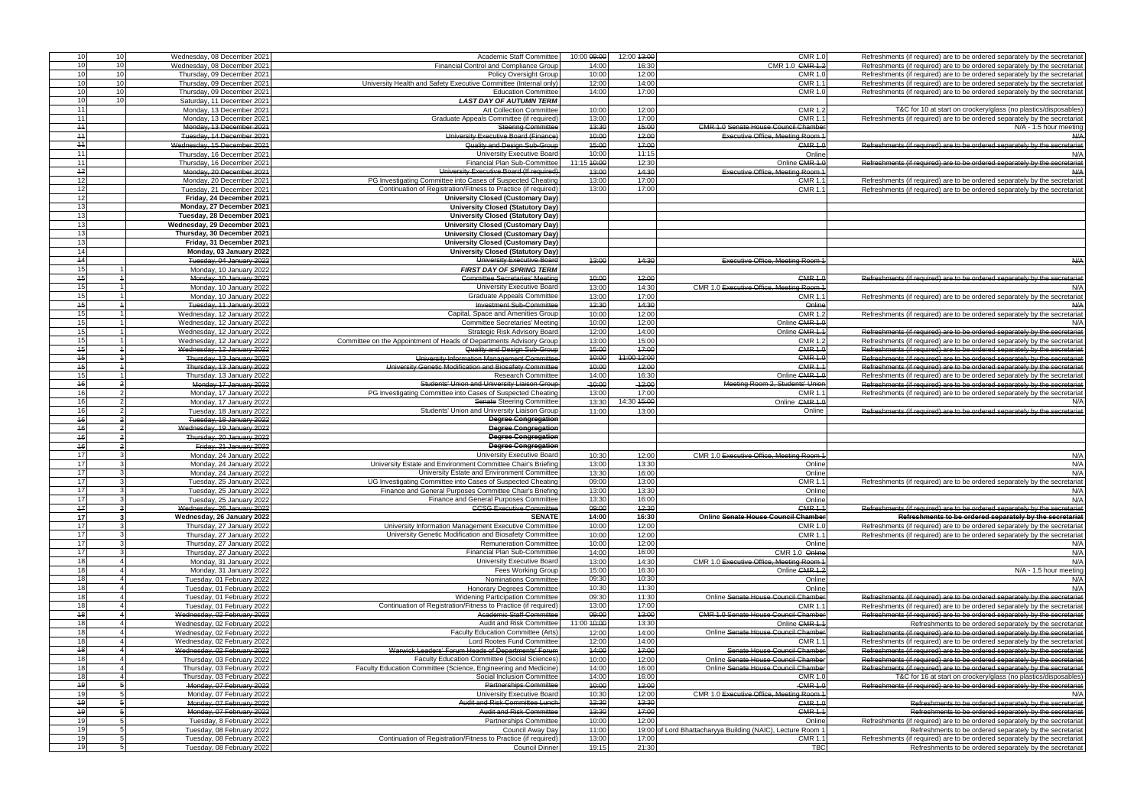| 10              |                                               |                                                                     |             |             |                                                             |                                                                                                                                                                                                                                                                                                                                                                                                                                                                                                                        |
|-----------------|-----------------------------------------------|---------------------------------------------------------------------|-------------|-------------|-------------------------------------------------------------|------------------------------------------------------------------------------------------------------------------------------------------------------------------------------------------------------------------------------------------------------------------------------------------------------------------------------------------------------------------------------------------------------------------------------------------------------------------------------------------------------------------------|
|                 | 10<br>Wednesday, 08 December 2021             | Academic Staff Committee                                            | 10:00 09:00 | 12:00 43:00 | <b>CMR 1.0</b>                                              | Refreshments (if required) are to be ordered separately by the secretariat                                                                                                                                                                                                                                                                                                                                                                                                                                             |
| 10              | 10<br>Wednesday, 08 December 2021             | Financial Control and Compliance Group                              | 14:00       | 16:30       | CMR 1.0 GMR 1.2                                             | Refreshments (if required) are to be ordered separately by the secretariat                                                                                                                                                                                                                                                                                                                                                                                                                                             |
| 10 <sup>1</sup> | 10 <sup>1</sup><br>Thursday, 09 December 2021 | <b>Policy Oversight Group</b>                                       | 10:00       | 12:00       | <b>CMR 1.0</b>                                              | Refreshments (if required) are to be ordered separately by the secretaria                                                                                                                                                                                                                                                                                                                                                                                                                                              |
| 10 <sup>1</sup> | 10 <sup>1</sup>                               |                                                                     |             | 14:00       | <b>CMR 1.1</b>                                              | Refreshments (if required) are to be ordered separately by the secretariat                                                                                                                                                                                                                                                                                                                                                                                                                                             |
|                 | Thursday, 09 December 2021                    | University Health and Safety Executive Committee (Internal only)    | 12:00       |             |                                                             |                                                                                                                                                                                                                                                                                                                                                                                                                                                                                                                        |
| 10 <sup>1</sup> | 10 <sup>1</sup><br>Thursday, 09 December 2021 | <b>Education Committee</b>                                          | 14:00       | 17:00       | <b>CMR 1.0</b>                                              | Refreshments (if required) are to be ordered separately by the secretaria                                                                                                                                                                                                                                                                                                                                                                                                                                              |
| 10              | 10 <sup>1</sup><br>Saturday, 11 December 2021 | <b>LAST DAY OF AUTUMN TERM</b>                                      |             |             |                                                             |                                                                                                                                                                                                                                                                                                                                                                                                                                                                                                                        |
| 11              | Monday, 13 December 2021                      | <b>Art Collection Committee</b>                                     | 10:00       | 12:00       | <b>CMR 1.2</b>                                              | T&C for 10 at start on crockery/glass (no plastics/disposables)                                                                                                                                                                                                                                                                                                                                                                                                                                                        |
|                 |                                               |                                                                     |             |             |                                                             |                                                                                                                                                                                                                                                                                                                                                                                                                                                                                                                        |
| 11              | Monday, 13 December 2021                      | Graduate Appeals Committee (if required)                            | 13:00       | 17:00       | CMR 1.                                                      | Refreshments (if required) are to be ordered separately by the secretariat                                                                                                                                                                                                                                                                                                                                                                                                                                             |
| 44              | Monday, 13 December 2021                      | <b>Steering Committee</b>                                           | 43:30       | 45:00       | <b>CMR 1.0 Senate House Council Chamber</b>                 | N/A - 1.5 hour meeting                                                                                                                                                                                                                                                                                                                                                                                                                                                                                                 |
| $+4$            | Tuesday, 14 December 2021                     | University Executive Board (Finance)                                | 40:00       | 42:00       | <b>Executive Office, Meeting Room 1</b>                     | A/H                                                                                                                                                                                                                                                                                                                                                                                                                                                                                                                    |
|                 |                                               |                                                                     |             |             |                                                             |                                                                                                                                                                                                                                                                                                                                                                                                                                                                                                                        |
| $+4$            | Wednesday, 15 December 2021                   | Quality and Design Sub-Group                                        | 45:00       | 47:00       | <b>CMR 1.0</b>                                              | Refreshments (if required) are to be ordered separately by the secretariat                                                                                                                                                                                                                                                                                                                                                                                                                                             |
| 11              | Thursday, 16 December 2021                    | University Executive Board                                          | 10:00       | 11:15       | Online                                                      | N/A                                                                                                                                                                                                                                                                                                                                                                                                                                                                                                                    |
| 11              | Thursday, 16 December 2021                    | Financial Plan Sub-Committee                                        | 11:15 40:00 | 12:30       | Online CMR 1.                                               | Refreshments (if required) are to be ordered separately by the secretariat                                                                                                                                                                                                                                                                                                                                                                                                                                             |
| $+2$            |                                               |                                                                     |             | 44:30       |                                                             |                                                                                                                                                                                                                                                                                                                                                                                                                                                                                                                        |
|                 | Monday, 20 December 2021                      | University Executive Board (If required)                            | 43:00       |             | <b>Executive Office, Meeting Room 1</b>                     | A/AB                                                                                                                                                                                                                                                                                                                                                                                                                                                                                                                   |
| 12              | Monday, 20 December 2021                      | PG Investigating Committee into Cases of Suspected Cheating         | 13:00       | 17:00       | CMR 1.                                                      | Refreshments (if required) are to be ordered separately by the secretariat                                                                                                                                                                                                                                                                                                                                                                                                                                             |
| 12              | Tuesday, 21 December 2021                     | Continuation of Registration/Fitness to Practice (if required)      | 13:00       | 17:00       | <b>CMR 1.</b>                                               | Refreshments (if required) are to be ordered separately by the secretariat                                                                                                                                                                                                                                                                                                                                                                                                                                             |
| 12              | Friday, 24 December 2021                      | <b>University Closed (Customary Day)</b>                            |             |             |                                                             |                                                                                                                                                                                                                                                                                                                                                                                                                                                                                                                        |
|                 |                                               |                                                                     |             |             |                                                             |                                                                                                                                                                                                                                                                                                                                                                                                                                                                                                                        |
| 13              | Monday, 27 December 2021                      | <b>University Closed (Statutory Day)</b>                            |             |             |                                                             |                                                                                                                                                                                                                                                                                                                                                                                                                                                                                                                        |
| 13              | Tuesday, 28 December 2021                     | <b>University Closed (Statutory Day)</b>                            |             |             |                                                             |                                                                                                                                                                                                                                                                                                                                                                                                                                                                                                                        |
| 13              | Wednesday, 29 December 2021                   | <b>University Closed (Customary Day)</b>                            |             |             |                                                             |                                                                                                                                                                                                                                                                                                                                                                                                                                                                                                                        |
|                 |                                               |                                                                     |             |             |                                                             |                                                                                                                                                                                                                                                                                                                                                                                                                                                                                                                        |
| 13              | Thursday, 30 December 2021                    | University Closed (Customary Day)                                   |             |             |                                                             |                                                                                                                                                                                                                                                                                                                                                                                                                                                                                                                        |
| 13              | Friday, 31 December 2021                      | <b>University Closed (Customary Day)</b>                            |             |             |                                                             |                                                                                                                                                                                                                                                                                                                                                                                                                                                                                                                        |
| 14              | Monday, 03 January 2022                       | <b>University Closed (Statutory Day)</b>                            |             |             |                                                             |                                                                                                                                                                                                                                                                                                                                                                                                                                                                                                                        |
| 44              | Tuesday, 04 January 2022                      | University Executive Board                                          | 43:00       | 44:30       | Executive Office, Meeting Room 1                            | A/A                                                                                                                                                                                                                                                                                                                                                                                                                                                                                                                    |
|                 |                                               |                                                                     |             |             |                                                             |                                                                                                                                                                                                                                                                                                                                                                                                                                                                                                                        |
| 15              | Monday, 10 January 2022                       | <b>FIRST DAY OF SPRING TERM</b>                                     |             |             |                                                             |                                                                                                                                                                                                                                                                                                                                                                                                                                                                                                                        |
| 45              | Monday, 10 January 2022                       | <b>Committee Secretaries' Meeting</b>                               | 40:00       | 42:00       | CMR 1.0                                                     | Refreshments (if required) are to be ordered separately by the secretariat                                                                                                                                                                                                                                                                                                                                                                                                                                             |
| 15              | Monday, 10 January 2022                       | University Executive Board                                          | 13:00       | 14:30       | CMR 1.0 Executive Office, Meeting Room 1                    | N/A                                                                                                                                                                                                                                                                                                                                                                                                                                                                                                                    |
|                 |                                               |                                                                     |             |             |                                                             |                                                                                                                                                                                                                                                                                                                                                                                                                                                                                                                        |
| 15              | Monday, 10 January 2022                       | <b>Graduate Appeals Committee</b>                                   | 13:00       | 17:00       | <b>CMR 1.1</b>                                              | Refreshments (if required) are to be ordered separately by the secretariat                                                                                                                                                                                                                                                                                                                                                                                                                                             |
| 45              | Tuesday, 11 January 2022                      | <b>Investment Sub-Committee</b>                                     | 42:30       | 44:30       | Online                                                      | A/AB                                                                                                                                                                                                                                                                                                                                                                                                                                                                                                                   |
| 15              | Wednesday, 12 January 2022                    | Capital, Space and Amenities Group                                  | 10:00       | 12:00       | <b>CMR 1.2</b>                                              | Refreshments (if required) are to be ordered separately by the secretariat                                                                                                                                                                                                                                                                                                                                                                                                                                             |
|                 |                                               |                                                                     |             |             | Online CMR 1.0                                              |                                                                                                                                                                                                                                                                                                                                                                                                                                                                                                                        |
| 15 <sup>1</sup> | Wednesday, 12 January 2022                    | <b>Committee Secretaries' Meeting</b>                               | 10:00       | 12:00       |                                                             | N/A                                                                                                                                                                                                                                                                                                                                                                                                                                                                                                                    |
| 15              | Wednesday, 12 January 2022                    | <b>Strategic Risk Advisory Board</b>                                | 12:00       | 14:00       | Online CMR 1.1                                              | Refreshments (if required) are to be ordered separately by the secretariat                                                                                                                                                                                                                                                                                                                                                                                                                                             |
| 15              | Wednesday, 12 January 2022                    | Committee on the Appointment of Heads of Departments Advisory Group | 13:00       | 15:00       | <b>CMR 1.2</b>                                              | Refreshments (if required) are to be ordered separately by the secretaria                                                                                                                                                                                                                                                                                                                                                                                                                                              |
| 45              | Wednesday, 12 January 2022                    | Quality and Design Sub-Group                                        | 45:00       | 47:00       | <b>CMR 1.0</b>                                              | Refreshments (if required) are to be ordered separately by the secretaria                                                                                                                                                                                                                                                                                                                                                                                                                                              |
|                 |                                               |                                                                     |             |             |                                                             |                                                                                                                                                                                                                                                                                                                                                                                                                                                                                                                        |
| 45              | Thursday, 13 January 2022                     | University Information Management Committee                         | 40:00       | 11:00 12:00 | <b>CMR 1.0</b>                                              | Refreshments (if required) are to be ordered separately by the secretaria                                                                                                                                                                                                                                                                                                                                                                                                                                              |
| 45              | Thursday, 13 January 2022                     | University Genetic Modification and Biosafety Committee             | 40:00       | 42:00       | CMR <sub>1</sub>                                            | Refreshments (if required) are to be ordered separately by the secretaria                                                                                                                                                                                                                                                                                                                                                                                                                                              |
| 15              | Thursday, 13 January 2022                     | <b>Research Committee</b>                                           | 14:00       | 16:30       | Online CMR 1.0                                              | Refreshments (if required) are to be ordered separately by the secretaria                                                                                                                                                                                                                                                                                                                                                                                                                                              |
| 46              | Monday 17 January 2022                        | Students' Union and University Liaison Group                        | $-40:00$    | $-42:00$    | Meeting Room 2, Students' Union                             |                                                                                                                                                                                                                                                                                                                                                                                                                                                                                                                        |
|                 |                                               |                                                                     |             |             |                                                             | Refreshments (if required) are to be ordered separately by the secretaria                                                                                                                                                                                                                                                                                                                                                                                                                                              |
| 16              | Monday, 17 January 2022                       | PG Investigating Committee into Cases of Suspected Cheating         | 13:00       | 17:00       | <b>CMR 1.1</b>                                              | Refreshments (if required) are to be ordered separately by the secretaria                                                                                                                                                                                                                                                                                                                                                                                                                                              |
| 16              | Monday, 17 January 2022                       | Senate Steering Committee                                           | 13:30       | 14:30 15:00 | Online CMR 1.0                                              | N/A                                                                                                                                                                                                                                                                                                                                                                                                                                                                                                                    |
| 16              | Tuesday, 18 January 2022                      | Students' Union and University Liaison Group                        | 11:00       | 13:00       | Online                                                      | Refreshments (if required) are to be ordered separately by the secretariat                                                                                                                                                                                                                                                                                                                                                                                                                                             |
|                 |                                               |                                                                     |             |             |                                                             |                                                                                                                                                                                                                                                                                                                                                                                                                                                                                                                        |
| 46              | Tuesday, 18 January 2022                      | <b>Degree Congregation</b>                                          |             |             |                                                             |                                                                                                                                                                                                                                                                                                                                                                                                                                                                                                                        |
| 46              | Wednesday, 19 January 2022                    | <b>Degree Congregation</b>                                          |             |             |                                                             |                                                                                                                                                                                                                                                                                                                                                                                                                                                                                                                        |
| 46              |                                               |                                                                     |             |             |                                                             |                                                                                                                                                                                                                                                                                                                                                                                                                                                                                                                        |
|                 |                                               |                                                                     |             |             |                                                             |                                                                                                                                                                                                                                                                                                                                                                                                                                                                                                                        |
|                 | Thursday, 20 January 2022                     | <b>Degree Congregation</b>                                          |             |             |                                                             |                                                                                                                                                                                                                                                                                                                                                                                                                                                                                                                        |
| 46              | Friday, 21 January 2022                       | <b>Degree Congregation</b>                                          |             |             |                                                             |                                                                                                                                                                                                                                                                                                                                                                                                                                                                                                                        |
| 17              | Monday, 24 January 2022                       | University Executive Board                                          | 10:30       | 12:00       | CMR 1.0 Executive Office, Meeting Room 1                    |                                                                                                                                                                                                                                                                                                                                                                                                                                                                                                                        |
|                 |                                               |                                                                     |             |             |                                                             |                                                                                                                                                                                                                                                                                                                                                                                                                                                                                                                        |
| 17              | Monday, 24 January 2022                       | University Estate and Environment Committee Chair's Briefing        | 13:00       | 13:30       | Online                                                      |                                                                                                                                                                                                                                                                                                                                                                                                                                                                                                                        |
| 17              | Monday, 24 January 2022                       | University Estate and Environment Committee                         | 13:30       | 16:00       | Online                                                      |                                                                                                                                                                                                                                                                                                                                                                                                                                                                                                                        |
| 17 <sup>1</sup> | Tuesday, 25 January 2022                      | UG Investigating Committee into Cases of Suspected Cheating         | 09:00       | 13:00       | <b>CMR 11</b>                                               |                                                                                                                                                                                                                                                                                                                                                                                                                                                                                                                        |
| 17              | Tuesday, 25 January 2022                      | Finance and General Purposes Committee Chair's Briefing             | 13:00       | 13:30       | Online                                                      |                                                                                                                                                                                                                                                                                                                                                                                                                                                                                                                        |
|                 |                                               |                                                                     |             |             |                                                             |                                                                                                                                                                                                                                                                                                                                                                                                                                                                                                                        |
| 17              | Tuesday, 25 January 2022                      | Finance and General Purposes Committee                              | 13:30       | 16:00       | Online                                                      |                                                                                                                                                                                                                                                                                                                                                                                                                                                                                                                        |
| $+7$            | Wednesday, 26 January 2022                    | <b>CCSG Executive Committee</b>                                     | 09:00       | 42:30       | <b>CMR 1.1</b>                                              |                                                                                                                                                                                                                                                                                                                                                                                                                                                                                                                        |
| 17              | Wednesday, 26 January 2022                    | <b>SENATE</b>                                                       | 14:00       | 16:30       | Online Senate House Council Chamber                         | Refreshments to be ordered separately by the secretariat                                                                                                                                                                                                                                                                                                                                                                                                                                                               |
| 17              |                                               | University Information Management Executive Committee               |             |             | <b>CMR 1.0</b>                                              |                                                                                                                                                                                                                                                                                                                                                                                                                                                                                                                        |
|                 | Thursday, 27 January 2022                     |                                                                     | 10:00       | 12:00       |                                                             | Refreshments (if required) are to be ordered separately by the secretariat                                                                                                                                                                                                                                                                                                                                                                                                                                             |
| 17              | Thursday, 27 January 2022                     | University Genetic Modification and Biosafety Committee             | 10:00       | 12:00       | <b>CMR 1.1</b>                                              | Refreshments (if required) are to be ordered separately by the secretariat                                                                                                                                                                                                                                                                                                                                                                                                                                             |
| 17              | Thursday, 27 January 2022                     | <b>Remuneration Committee</b>                                       | 10:00       | 12:00       | Online                                                      |                                                                                                                                                                                                                                                                                                                                                                                                                                                                                                                        |
| 17              | Thursday, 27 January 2022                     | Financial Plan Sub-Committee                                        | 14:00       | 16:00       | CMR 1.0 Online                                              |                                                                                                                                                                                                                                                                                                                                                                                                                                                                                                                        |
|                 |                                               |                                                                     |             |             |                                                             |                                                                                                                                                                                                                                                                                                                                                                                                                                                                                                                        |
| 18              | Monday, 31 January 2022                       | University Executive Board                                          | 13:00       | 14:30       | CMR 1.0 Executive Office, Meeting Room 1                    |                                                                                                                                                                                                                                                                                                                                                                                                                                                                                                                        |
| 18              | Monday, 31 January 2022                       | Fees Working Group                                                  | 15:00       | 16:30       | Online CMR 1.2                                              |                                                                                                                                                                                                                                                                                                                                                                                                                                                                                                                        |
| 18              | Tuesday, 01 February 2022                     | Nominations Committee                                               | 09:30       | 10:30       | Online                                                      |                                                                                                                                                                                                                                                                                                                                                                                                                                                                                                                        |
| 18              | Tuesday, 01 February 2022                     | <b>Honorary Degrees Committee</b>                                   | 10:30       | 11:30       | Online                                                      |                                                                                                                                                                                                                                                                                                                                                                                                                                                                                                                        |
|                 |                                               |                                                                     |             |             |                                                             |                                                                                                                                                                                                                                                                                                                                                                                                                                                                                                                        |
| 18              | Tuesday, 01 February 2022                     | <b>Widening Participation Committee</b>                             | 09:30       | 11:30       | Online Senate House Council Chamber                         | Refreshments (if required) are to be ordered separately by the secretariat                                                                                                                                                                                                                                                                                                                                                                                                                                             |
| 18              | Tuesday, 01 February 2022                     | Continuation of Registration/Fitness to Practice (if required)      | 13:00       | 17:00       | CMR 1.1                                                     | Refreshments (if required) are to be ordered separately by the secretariat                                                                                                                                                                                                                                                                                                                                                                                                                                             |
| 48              | Wednesday, 02 February 2022                   | <b>Academic Staff Committee</b>                                     | 09:00       | 43:00       | <b>CMR 1.0 Senate House Council Chamber</b>                 | Refreshments (if required) are to be ordered separately by the secretariat                                                                                                                                                                                                                                                                                                                                                                                                                                             |
| 18              | Wednesday, 02 February 2022                   | Audit and Risk Committee                                            | 11:00 40:00 | 13:30       | Online CMR 1.1                                              | Refreshments to be ordered separately by the secretariat                                                                                                                                                                                                                                                                                                                                                                                                                                                               |
|                 |                                               |                                                                     |             |             |                                                             |                                                                                                                                                                                                                                                                                                                                                                                                                                                                                                                        |
| 18              | Wednesday, 02 February 2022                   | Faculty Education Committee (Arts)                                  | 12:00       | 14:00       | Online Senate House Council Chamber                         | Refreshments (if required) are to be ordered separately by the secretariat                                                                                                                                                                                                                                                                                                                                                                                                                                             |
| 18              | Wednesday, 02 February 2022                   | Lord Rootes Fund Committee                                          | 12:00       | 14:00       | <b>CMR 1.1</b>                                              | Refreshments (if required) are to be ordered separately by the secretariat                                                                                                                                                                                                                                                                                                                                                                                                                                             |
| 48              |                                               | Warwick Leaders' Forum Heads of Departments' Forum                  | 44:00       | 47:00       | Senate House Council Chamber                                | Refreshments (if required) are to be ordered separately by the secretariat                                                                                                                                                                                                                                                                                                                                                                                                                                             |
|                 | Wednesday, 02 February 2022                   |                                                                     |             |             |                                                             |                                                                                                                                                                                                                                                                                                                                                                                                                                                                                                                        |
| 18              | Thursday, 03 February 2022                    | <b>Faculty Education Committee (Social Sciences)</b>                | 10:00       | 12:00       | Online Senate House Council Chamber                         | Refreshments (if required) are to be ordered separately by the secretariat                                                                                                                                                                                                                                                                                                                                                                                                                                             |
| 18              | Thursday, 03 February 2022                    | Faculty Education Committee (Science, Engineering and Medicine)     | 14:00       | 16:00       | Online Senate House Council Chamber                         | Refreshments (if required) are to be ordered separately by the secretariat                                                                                                                                                                                                                                                                                                                                                                                                                                             |
| 18              | Thursday, 03 February 2022                    | Social Inclusion Committee                                          | 14:00       | 16:00       | <b>CMR 1.0</b>                                              |                                                                                                                                                                                                                                                                                                                                                                                                                                                                                                                        |
| 49              | -Monday, 07 February 2022                     | <b>Partnerships Committee</b>                                       | 40:00       | 42:00       | <b>CMR 1.0</b>                                              | Refreshments (if required) are to be ordered separately by the secretariat                                                                                                                                                                                                                                                                                                                                                                                                                                             |
|                 |                                               |                                                                     |             |             |                                                             |                                                                                                                                                                                                                                                                                                                                                                                                                                                                                                                        |
| 19              | Monday, 07 February 2022                      | University Executive Board                                          | 10:30       | 12:00       | CMR 1.0 Executive Office, Meeting Room 1                    |                                                                                                                                                                                                                                                                                                                                                                                                                                                                                                                        |
| 49              | Monday, 07 February 2022                      | Audit and Risk Committee Lunch                                      | 42:30       | 43:30       | <b>CMR 1.0</b>                                              |                                                                                                                                                                                                                                                                                                                                                                                                                                                                                                                        |
| 49              | Monday, 07 February 2022                      | <b>Audit and Risk Committee</b>                                     | 43:30       | 47:00       | <b>CMR 1.1</b>                                              |                                                                                                                                                                                                                                                                                                                                                                                                                                                                                                                        |
|                 |                                               |                                                                     |             |             |                                                             |                                                                                                                                                                                                                                                                                                                                                                                                                                                                                                                        |
| 19              | Tuesday, 8 February 2022                      | <b>Partnerships Committee</b>                                       | 10:00       | 12:00       | Online                                                      | Refreshments (if required) are to be ordered separately by the secretariat                                                                                                                                                                                                                                                                                                                                                                                                                                             |
| 19              | Tuesday, 08 February 2022                     | Council Away Day                                                    | 11:00       |             | 19:00 of Lord Bhattacharyya Building (NAIC), Lecture Room 1 | Refreshments to be ordered separately by the secretariat                                                                                                                                                                                                                                                                                                                                                                                                                                                               |
| 19              | Tuesday, 08 February 2022                     | Continuation of Registration/Fitness to Practice (if required)      | 13:00       | 17:00       | CMR 1.                                                      | Refreshments (if required) are to be ordered separately by the secretariat                                                                                                                                                                                                                                                                                                                                                                                                                                             |
| 19              | Tuesday, 08 February 2022                     | <b>Council Dinner</b>                                               | 19:15       | 21:30       | <b>TBC</b>                                                  | N/A<br>N/A<br>N/A<br>Refreshments (if required) are to be ordered separately by the secretariat<br>N/A<br>N/A<br>Refreshments (if required) are to be ordered separately by the secretariat<br>N/A<br>N/A<br>N/A<br>N/A - 1.5 hour meeting<br>N/A<br>N/A<br>T&C for 16 at start on crockery/glass (no plastics/disposables)<br>N/A<br>Refreshments to be ordered separately by the secretariat<br>Refreshments to be ordered separately by the secretariat<br>Refreshments to be ordered separately by the secretariat |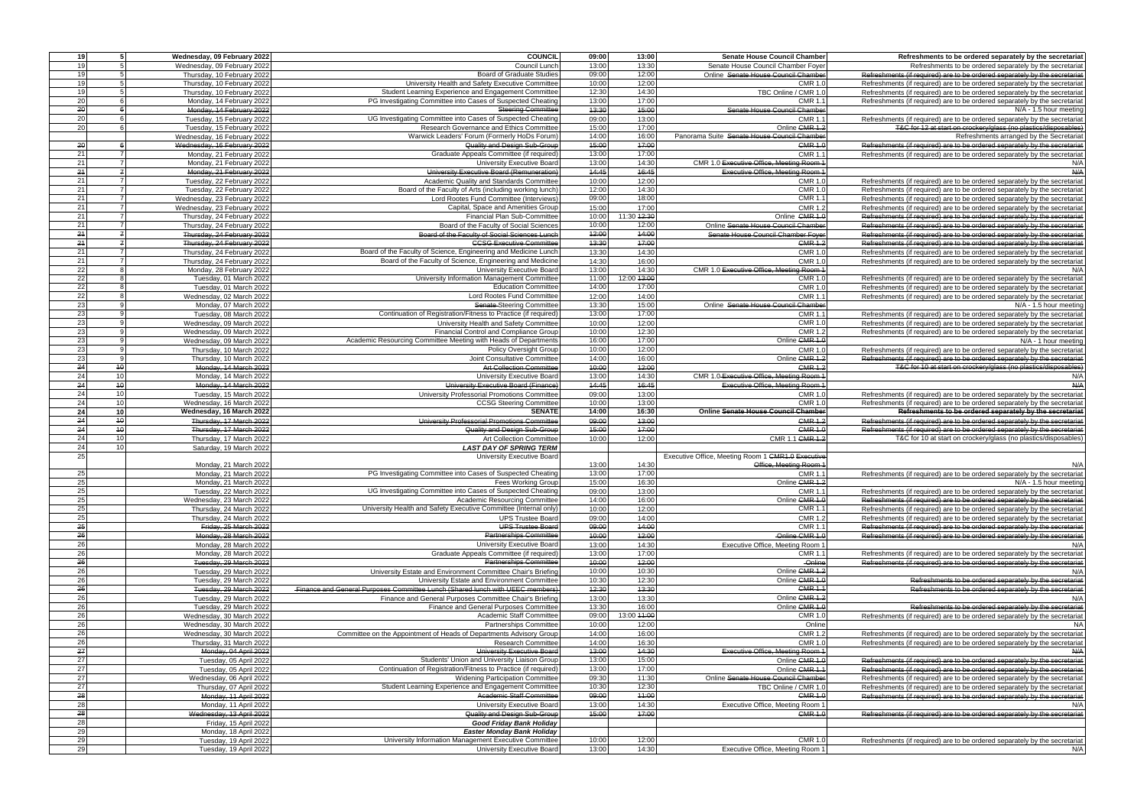| 19              | $\overline{5}$   | Wednesday, 09 February 2022                      | <b>COUNCIL</b>                                                                      | 09:00          | 13:00          | <b>Senate House Council Chamber</b>                | Refreshments to be ordered separately by the secretariat                          |
|-----------------|------------------|--------------------------------------------------|-------------------------------------------------------------------------------------|----------------|----------------|----------------------------------------------------|-----------------------------------------------------------------------------------|
| 19              | $5 \overline{5}$ | Wednesday, 09 February 2022                      | Council Lunch                                                                       | 13:00          | 13:30          | Senate House Council Chamber Foyer                 | Refreshments to be ordered separately by the secretariat                          |
| 19              |                  | Thursday, 10 February 2022                       | <b>Board of Graduate Studies</b>                                                    | 09:00          | 12:00          | Online Senate House Council Chamber                | Refreshments (if required) are to be ordered separately by the secretariat        |
| 19              |                  | Thursday, 10 February 2022                       | University Health and Safety Executive Committee                                    | 10:00          | 12:00          | <b>CMR 1.0</b>                                     | Refreshments (if required) are to be ordered separately by the secretariat        |
|                 |                  |                                                  |                                                                                     |                |                |                                                    |                                                                                   |
| 19              |                  | Thursday, 10 February 2022                       | Student Learning Experience and Engagement Committee                                | 12:30          | 14:30          | TBC Online / CMR 1.0                               | Refreshments (if required) are to be ordered separately by the secretariat        |
| 20              |                  | Monday, 14 February 2022                         | PG Investigating Committee into Cases of Suspected Cheating                         | 13:00          | 17:00          | <b>CMR 1.1</b>                                     | Refreshments (if required) are to be ordered separately by the secretariat        |
| 20              |                  | Monday, 14 February 2022                         | <b>Steering Committee</b>                                                           | 43:30          | 45:00          | Senate House Council Chamber                       | N/A - 1.5 hour meeting                                                            |
| <b>20</b>       |                  |                                                  | UG Investigating Committee into Cases of Suspected Cheating                         | 09:00          | 13:00          | <b>CMR 1.1</b>                                     | Refreshments (if required) are to be ordered separately by the secretariat        |
|                 |                  | Tuesday, 15 February 2022                        |                                                                                     |                |                |                                                    |                                                                                   |
| 20              |                  | Tuesday, 15 February 2022                        | Research Governance and Ethics Committee                                            | 15:00          | 17:00          | Online CMR 1.2                                     | T&C for 12 at start on crockery/glass (no plastics/disposables)                   |
|                 |                  | Wednesday, 16 February 2022                      | Warwick Leaders' Forum (Formerly HoDs Forum)                                        | 14:00          | 16:00          | Panorama Suite Senate House Council Chamber        | Refreshments arranged by the Secretariat                                          |
| 20              |                  | Wednesday, 16 February 2022                      | Quality and Design Sub-Group                                                        | 45:00          | 47:00          | <b>CMR 1.0</b>                                     | Refreshments (if required) are to be ordered separately by the secretariat        |
| 21              |                  | Monday, 21 February 2022                         | Graduate Appeals Committee (if required)                                            | 13:00          | 17:00          | CMR 1.                                             |                                                                                   |
|                 |                  |                                                  |                                                                                     |                |                |                                                    | Refreshments (if required) are to be ordered separately by the secretariat        |
| 21              |                  | Monday, 21 February 2022                         | University Executive Board                                                          | 13:00          | 14:30          | CMR 1.0 Executive Office, Meeting Room 1           | N/A                                                                               |
| 24              | $\overline{f}$   | Monday, 21 February 2022                         | University Executive Board (Remuneration)                                           | 14:45          | 16:45          | <b>Executive Office, Meeting Room 1</b>            | $A$ / $A$                                                                         |
| 21              |                  | Tuesday, 22 February 2022                        | Academic Quality and Standards Committee                                            | 10:00          | 12:00          | <b>CMR 1.0</b>                                     | Refreshments (if required) are to be ordered separately by the secretariat        |
| 21              | $\overline{7}$   |                                                  | Board of the Faculty of Arts (including working lunch)                              | 12:00          | 14:30          | <b>CMR 1.0</b>                                     |                                                                                   |
|                 |                  | Tuesday, 22 February 2022                        |                                                                                     |                |                |                                                    | Refreshments (if required) are to be ordered separately by the secretariat        |
| 21              | $\overline{7}$   | Wednesday, 23 February 2022                      | Lord Rootes Fund Committee (Interviews)                                             | 09:00          | 18:00          | <b>CMR 1.1</b>                                     | Refreshments (if required) are to be ordered separately by the secretariat        |
| 21              | $\overline{7}$   | Wednesday, 23 February 2022                      | Capital, Space and Amenities Group                                                  | 15:00          | 17:00          | <b>CMR 1.2</b>                                     | Refreshments (if required) are to be ordered separately by the secretariat        |
| 21              |                  | Thursday, 24 February 2022                       | Financial Plan Sub-Committee                                                        | 10:00          | 11:30 42:30    | Online CMR 1.0                                     | Refreshments (if required) are to be ordered separately by the secretariat        |
| 21              |                  |                                                  |                                                                                     | 10:00          | 12:00          |                                                    |                                                                                   |
|                 |                  | Thursday, 24 February 2022                       | Board of the Faculty of Social Sciences                                             |                |                | Online Senate House Council Chamber                | Refreshments (if required) are to be ordered separately by the secretariat        |
| $^{24}$         | $\overline{z}$   | Thursday, 24 February 2022                       | Board of the Faculty of Social Sciences Lunch                                       | 42:00          | 44:00          | Senate House Council Chamber Foyer                 | Refreshments (if required) are to be ordered separately by the secretariat        |
| 24              |                  | Thursday, 24 February 2022                       | <b>CCSG Executive Committee</b>                                                     | 43:30          | 17:00          | <b>CMR 1.2</b>                                     | Refreshments (if required) are to be ordered separately by the secretariat        |
| 21              |                  | Thursday, 24 February 2022                       | Board of the Faculty of Science, Engineering and Medicine Lunch                     | 13:30          | 14:30          | CMR 1.0                                            | Refreshments (if required) are to be ordered separately by the secretariat        |
|                 |                  |                                                  |                                                                                     |                |                |                                                    |                                                                                   |
| 21              |                  | Thursday, 24 February 2022                       | Board of the Faculty of Science, Engineering and Medicine                           | 14:30          | 16:00          | <b>CMR 1.0</b>                                     | Refreshments (if required) are to be ordered separately by the secretariat        |
| 22              |                  | Monday, 28 February 2022                         | University Executive Board                                                          | 13:00          | 14:30          | CMR 1.0 Executive Office, Meeting Room 1           | N/A                                                                               |
| 22              |                  | Tuesday, 01 March 2022                           | University Information Management Committee                                         | 11:00          | 12:00 43:00    | <b>CMR 1.0</b>                                     | Refreshments (if required) are to be ordered separately by the secretariat        |
| 22              |                  | Tuesday, 01 March 2022                           | <b>Education Committee</b>                                                          | 14:00          | 17:00          | CMR 1.                                             | Refreshments (if required) are to be ordered separately by the secretariat        |
|                 |                  |                                                  |                                                                                     |                |                |                                                    |                                                                                   |
| 22              |                  | Wednesday, 02 March 2022                         | Lord Rootes Fund Committee                                                          | 12:00          | 14:00          | CMR 1.                                             | Refreshments (if required) are to be ordered separately by the secretariat        |
| 23              |                  | Monday, 07 March 2022                            | Senate-Steering Committee                                                           | 13:30          | 15:00          | Online Senate House Council Chamber                | N/A - 1.5 hour meeting                                                            |
| 23              |                  | Tuesday, 08 March 2022                           | Continuation of Registration/Fitness to Practice (if required)                      | 13:00          | 17:00          | <b>CMR 1.1</b>                                     | Refreshments (if required) are to be ordered separately by the secretariat        |
| 23              |                  |                                                  | University Health and Safety Committee                                              | 10:00          | 12:00          | <b>CMR 1.0</b>                                     |                                                                                   |
|                 |                  | Wednesday, 09 March 2022                         |                                                                                     |                |                |                                                    | Refreshments (if required) are to be ordered separately by the secretariat        |
| 23              |                  | Wednesday, 09 March 2022                         | Financial Control and Compliance Group                                              | 10:00          | 12:30          | CMR 1.2                                            | Refreshments (if required) are to be ordered separately by the secretariat        |
| 23              | <b>q</b>         | Wednesday, 09 March 2022                         | Academic Resourcing Committee Meeting with Heads of Departments                     | 16:00          | 17:00          | Online CMR 1.0                                     | N/A - 1 hour meeting                                                              |
| 23              | $\mathbf{Q}$     | Thursday, 10 March 2022                          | <b>Policy Oversight Group</b>                                                       | 10:00          | 12:00          | CMR 1.0                                            | Refreshments (if required) are to be ordered separately by the secretariat        |
|                 | 9                |                                                  |                                                                                     |                |                |                                                    |                                                                                   |
| 23              |                  | Thursday, 10 March 2022                          | Joint Consultative Committee                                                        | 14:00          | 16:00          | Online CMR 1.2                                     | Refreshments (if required) are to be ordered separately by the secretariat        |
| 24              | $\overline{40}$  | Monday, 14 March 2022                            | <b>Art Collection Committee</b>                                                     | 40:00          | 12:00          | <b>CMR 1.2</b>                                     | T&C for 10 at start on crockery/glass (no plastics/disposables)                   |
| 24              | 10               | Monday, 14 March 2022                            | University Executive Board                                                          | 13:00          | 14:30          | CMR 1.0-Executive Office, Meeting Room 1           | N/A                                                                               |
| 24              | 40               | Monday, 14 March 2022                            | University Executive Board (Finance)                                                | 44:45          | 16:45          | <b>Executive Office, Meeting Room 1</b>            | N/A                                                                               |
|                 |                  |                                                  |                                                                                     |                |                |                                                    |                                                                                   |
| 24              | 10               | Tuesday, 15 March 2022                           | University Professorial Promotions Committee                                        | 09:00          | 13:00          | CMR 1.0                                            | Refreshments (if required) are to be ordered separately by the secretariat        |
| 24              | 10               | Wednesday, 16 March 2022                         | <b>CCSG Steering Committee</b>                                                      | 10:00          | 13:00          | <b>CMR 1.0</b>                                     | Refreshments (if required) are to be ordered separately by the secretariat        |
|                 |                  |                                                  |                                                                                     |                |                |                                                    |                                                                                   |
| 24              | 10               | Wednesday, 16 March 2022                         | <b>SENATE</b>                                                                       |                |                | <b>Online Senate House Council Chamber</b>         | Refreshments to be ordered separately by the secretariat                          |
|                 |                  |                                                  |                                                                                     | 14:00          | 16:30          |                                                    |                                                                                   |
| 24              | $\overline{40}$  | Thursday, 17 March 2022                          | University Professorial Promotions Committee                                        | 09:00          | 43:00          | <b>CMR 1.2</b>                                     | Refreshments (if required) are to be ordered separately by the secretariat        |
| $\overline{24}$ | 40               | Thursday, 17 March 2022                          | Quality and Design Sub-Group                                                        | 45:00          | 47:00          | <b>CMR 1.0</b>                                     | Refreshments (if required) are to be ordered separately by the secretariat        |
| 24              | 10 <sup>1</sup>  | Thursday, 17 March 2022                          | <b>Art Collection Committee</b>                                                     | 10:00          | 12:00          | CMR 1.1 CMR 1.2                                    | T&C for 10 at start on crockery/glass (no plastics/disposables)                   |
| 24              | 10               |                                                  | <b>LAST DAY OF SPRING TERM</b>                                                      |                |                |                                                    |                                                                                   |
|                 |                  | Saturday, 19 March 2022                          |                                                                                     |                |                |                                                    |                                                                                   |
| 25              |                  |                                                  | University Executive Board                                                          |                |                | Executive Office, Meeting Room 1 CMR1.0 Executive  |                                                                                   |
|                 |                  | Monday, 21 March 2022                            |                                                                                     | 13:00          | 14:30          | Office, Meeting Room 1                             | N/A                                                                               |
| 25              |                  | Monday, 21 March 2022                            | PG Investigating Committee into Cases of Suspected Cheating                         | 13:00          | 17:00          | <b>CMR 1.1</b>                                     | Refreshments (if required) are to be ordered separately by the secretariat        |
| 25              |                  |                                                  | Fees Working Group                                                                  | 15:00          | 16:30          | Online CMR 1.2                                     | N/A - 1.5 hour meeting                                                            |
|                 |                  | Monday, 21 March 2022                            |                                                                                     |                |                |                                                    |                                                                                   |
| 25              |                  | Tuesday, 22 March 2022                           | UG Investigating Committee into Cases of Suspected Cheating                         | 09:00          | 13:00          | <b>CMR 1.1</b>                                     | Refreshments (if required) are to be ordered separately by the secretariat        |
| 25              |                  | Wednesday, 23 March 2022                         | Academic Resourcing Committee                                                       | 14:00          | 16:00          | Online CMR 1.0                                     | Refreshments (if required) are to be ordered separately by the secretariat        |
| 25              |                  | Thursday, 24 March 2022                          | University Health and Safety Executive Committee (Internal only)                    | 10:00          | 12:00          | <b>CMR 1.1</b>                                     | Refreshments (if required) are to be ordered separately by the secretariat        |
| 25              |                  | Thursday, 24 March 2022                          | <b>UPS Trustee Board</b>                                                            | 09:00          | 14:00          | <b>CMR 1.2</b>                                     |                                                                                   |
|                 |                  |                                                  |                                                                                     |                |                |                                                    | Refreshments (if required) are to be ordered separately by the secretariat        |
| 25              |                  | Friday, 25 March 2022                            | <b>UPS Trustee Board</b>                                                            | 09:00          | 44:00          | <b>CMR 1.1</b>                                     | Refreshments (if required) are to be ordered separately by the secretariat        |
| 26              |                  | Monday, 28 March 2022                            | <b>Partnerships Committee</b>                                                       | 40:00          | 42:00          | Online CMR 1.0                                     | Refreshments (if required) are to be ordered separately by the secretariat        |
| 26              |                  | Monday, 28 March 2022                            | University Executive Board                                                          | 13:00          | 14:30          | Executive Office, Meeting Room 1                   | N/A                                                                               |
| 26              |                  | Monday, 28 March 2022                            | Graduate Appeals Committee (if required)                                            | 13:00          | 17:00          | <b>CMR 1.1</b>                                     | Refreshments (if required) are to be ordered separately by the secretariat        |
|                 |                  |                                                  | <b>Partnerships Committee</b>                                                       |                |                |                                                    |                                                                                   |
| 26              |                  | Tuesday, 29 March 2022                           |                                                                                     | 40:00          | 42:00          | <b>Online</b>                                      | Refreshments (if required) are to be ordered separately by the secretariat        |
| 26              |                  | Tuesday, 29 March 2022                           | University Estate and Environment Committee Chair's Briefing                        | 10:00          | 10:30          | Online CMR 1.2                                     | N/A                                                                               |
| 26              |                  | Tuesday, 29 March 2022                           | University Estate and Environment Committee                                         | 10:30          | 12:30          | Online CMR 1.0                                     | Refreshments to be ordered separately by the secretariat                          |
| 26              |                  | Tuesday, 29 March 2022                           | Finance and General Purposes Committee Lunch (Shared lunch with UEEC members)       | 42:30          | 43:30          | <b>CMR 1.1</b>                                     | Refreshments to be ordered separately by the secretariat                          |
| 26              |                  | Tuesday, 29 March 2022                           |                                                                                     | 13:00          | 13:30          | Online CMR 1.2                                     | N/A                                                                               |
|                 |                  |                                                  | Finance and General Purposes Committee Chair's Briefing                             |                |                |                                                    |                                                                                   |
| 26              |                  | Tuesday, 29 March 2022                           | Finance and General Purposes Committee                                              | 13:30          | 16:00          | Online CMR 1.0                                     | Refreshments to be ordered separately by the secretariat                          |
| 26              |                  | Wednesday, 30 March 2022                         | Academic Staff Committee                                                            | 09:00          | 13:00 44:00    | <b>CMR 1.</b>                                      | Refreshments (if required) are to be ordered separately by the secretariat        |
| 26              |                  | Wednesday, 30 March 2022                         | <b>Partnerships Committee</b>                                                       | 10:00          | 12:00          | Online                                             | <b>NA</b>                                                                         |
| 26              |                  | Wednesday, 30 March 2022                         | Committee on the Appointment of Heads of Departments Advisory Group                 | 14:00          | 16:00          | <b>CMR 1.2</b>                                     | Refreshments (if required) are to be ordered separately by the secretariat        |
|                 |                  |                                                  |                                                                                     |                |                |                                                    |                                                                                   |
| 26              |                  | Thursday, 31 March 2022                          | <b>Research Committee</b>                                                           | 14:00          | 16:30          | <b>CMR 1.0</b>                                     | Refreshments (if required) are to be ordered separately by the secretariat        |
| 27              |                  | Monday, 04 April 2022                            | University Executive Board                                                          | 43:00          | 44:30          | Executive Office, Meeting Room 1                   |                                                                                   |
| 27              |                  | Tuesday, 05 April 2022                           | Students' Union and University Liaison Group                                        | 13:00          | 15:00          | Online GMR 1.0                                     | Refreshments (if required) are to be ordered separately by the secretariat        |
| 27              |                  |                                                  | Continuation of Registration/Fitness to Practice (if required)                      | 13:00          | 17:00          | Online CMR 1.1                                     | Refreshments (if required) are to be ordered separately by the secretariat        |
|                 |                  | Tuesday, 05 April 2022                           |                                                                                     |                |                |                                                    |                                                                                   |
| 27              |                  | Wednesday, 06 April 2022                         | <b>Widening Participation Committee</b>                                             | 09:30          | 11:30          | Online Senate House Council Chamber                | Refreshments (if required) are to be ordered separately by the secretariat        |
| 27              |                  | Thursday, 07 April 2022                          | Student Learning Experience and Engagement Committee                                | 10:30          | 12:30          | TBC Online / CMR 1.0                               | Refreshments (if required) are to be ordered separately by the secretariat        |
| 28              |                  | Monday, 11 April 2022                            | <b>Academic Staff Committee</b>                                                     | 09:00          | 44:00          | <b>CMR 1.0</b>                                     | Refreshments (if required) are to be ordered separately by the secretariat        |
| 28              |                  |                                                  |                                                                                     |                |                |                                                    | N/A                                                                               |
|                 |                  | Monday, 11 April 2022                            | University Executive Board                                                          | 13:00          | 14:30          | Executive Office, Meeting Room 1                   |                                                                                   |
| 28              |                  | Wednesday, 13 April 2022                         | Quality and Design Sub-Group                                                        | 45:00          | 47:00          | <b>CMR 1.0</b>                                     | Refreshments (if required) are to be ordered separately by the secretariat        |
| 28              |                  | Friday, 15 April 2022                            | <b>Good Friday Bank Holiday</b>                                                     |                |                |                                                    |                                                                                   |
| 29              |                  |                                                  | <b>Easter Monday Bank Holiday</b>                                                   |                |                |                                                    |                                                                                   |
|                 |                  | Monday, 18 April 2022                            |                                                                                     |                |                |                                                    |                                                                                   |
| 29<br>29        |                  | Tuesday, 19 April 2022<br>Tuesday, 19 April 2022 | University Information Management Executive Committee<br>University Executive Board | 10:00<br>13:00 | 12:00<br>14:30 | <b>CMR 1.0</b><br>Executive Office, Meeting Room 1 | Refreshments (if required) are to be ordered separately by the secretariat<br>N/A |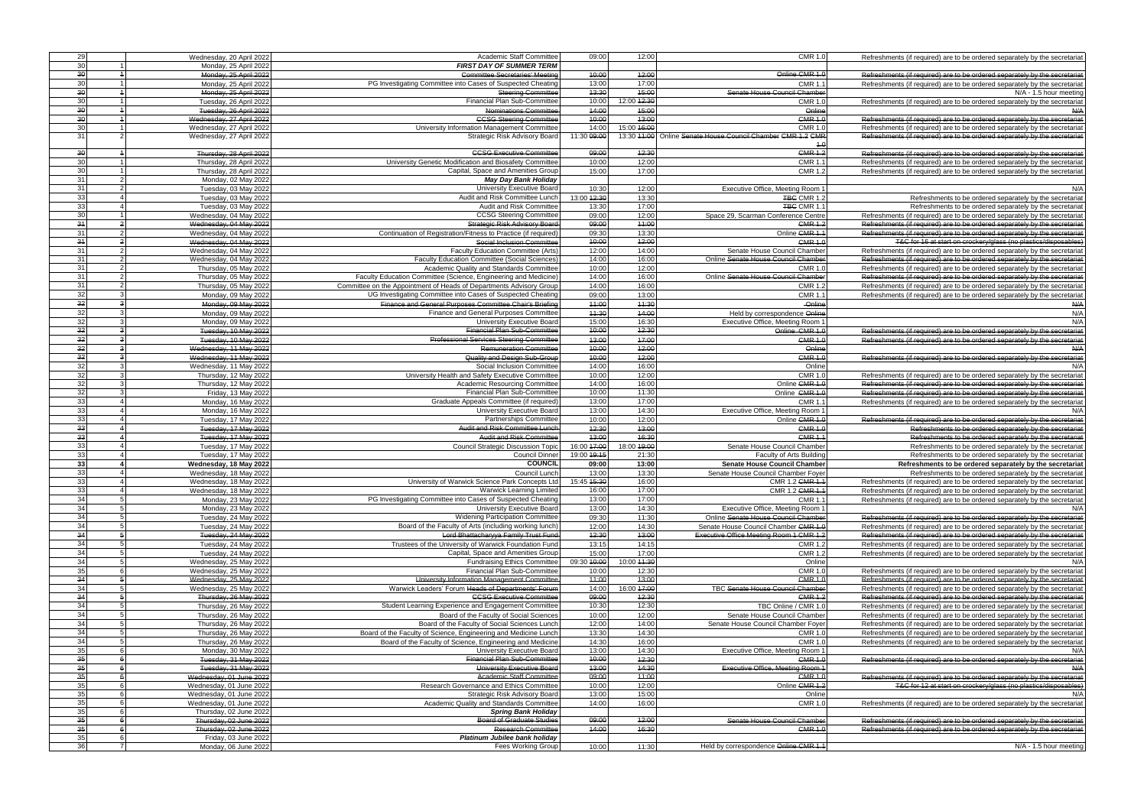| 29                                 | Wednesday, 20 April 2022                           | Academic Staff Committee                                                                                                     | 09:00                | 12:00                  | <b>CMR 1.0</b>                                              | Refreshments (if required) are to be ordered separately by the secretariat                                                                               |
|------------------------------------|----------------------------------------------------|------------------------------------------------------------------------------------------------------------------------------|----------------------|------------------------|-------------------------------------------------------------|----------------------------------------------------------------------------------------------------------------------------------------------------------|
| 30                                 | Monday, 25 April 2022                              | <b>FIRST DAY OF SUMMER TERM</b>                                                                                              |                      |                        |                                                             |                                                                                                                                                          |
| 30 <sup>1</sup><br>30 <sup>1</sup> | Monday, 25 April 2022                              | <b>Committee Secretaries' Meeting</b><br>PG Investigating Committee into Cases of Suspected Cheating                         | 40:00<br>13:00       | 42:00<br>17:00         | Online CMR 1.0<br><b>CMR 1.</b>                             | Refreshments (if required) are to be ordered separately by the secretariat                                                                               |
| 30                                 | Monday, 25 April 2022<br>Monday, 25 April 2022     | <b>Steering Committee</b>                                                                                                    | 43:30                | 45:00                  | Senate House Council Chamber                                | Refreshments (if required) are to be ordered separately by the secretariat<br>N/A - 1.5 hour meeting                                                     |
| 30 <sup>1</sup>                    | Tuesday, 26 April 2022                             | Financial Plan Sub-Committee                                                                                                 | 10:00                | 12:00 42:30            | CMR 1.                                                      | Refreshments (if required) are to be ordered separately by the secretariat                                                                               |
| 30 <sup>°</sup>                    | Tuesday, 26 April 2022                             | Nominations Committee                                                                                                        | 44:00                | 45:00                  | Online                                                      | A/A                                                                                                                                                      |
| 30                                 | Wednesday, 27 April 2022                           | <b>CCSG Steering Committee</b>                                                                                               | 40:00                | 43:00                  | CMR <sub>1</sub>                                            | Refreshments (if required) are to be ordered separately by the secretariat                                                                               |
| 30 <sup>1</sup>                    | Wednesday, 27 April 2022                           | University Information Management Committee                                                                                  | 14:00                | 15:00 46:00            | CMR 1.                                                      | Refreshments (if required) are to be ordered separately by the secretariat                                                                               |
| 31                                 | Wednesday, 27 April 2022                           | Strategic Risk Advisory Board                                                                                                | 11:30 09:00          |                        | 13:30 44:00 Online Senate House Council Chamber CMR 1.2 CMF | Refreshments (if required) are to be ordered separately by the secretariat                                                                               |
|                                    |                                                    |                                                                                                                              |                      |                        | $+6$<br><b>CMR 1.2</b>                                      |                                                                                                                                                          |
| 30 <sup>1</sup><br>30              | Thursday, 28 April 2022<br>Thursday, 28 April 2022 | <b>CCSG Executive Committee</b><br>University Genetic Modification and Biosafety Committee                                   | 09:00<br>10:00       | 42:30<br>12:00         | CMR 1.                                                      | Refreshments (if required) are to be ordered separately by the secretariat<br>Refreshments (if required) are to be ordered separately by the secretariat |
| 30 <sup>l</sup>                    | Thursday, 28 April 2022                            | Capital, Space and Amenities Group                                                                                           | 15:00                | 17:00                  | CMR 1.2                                                     | Refreshments (if required) are to be ordered separately by the secretariat                                                                               |
| 31                                 | Monday, 02 May 2022                                | <b>May Day Bank Holiday</b>                                                                                                  |                      |                        |                                                             |                                                                                                                                                          |
| 31                                 | Tuesday, 03 May 2022                               | University Executive Board                                                                                                   | 10:30                | 12:00                  | Executive Office, Meeting Room                              | N/A                                                                                                                                                      |
| 33                                 | Tuesday, 03 May 2022                               | Audit and Risk Committee Lunch                                                                                               | 13:00 42:30          | 13:30                  | <b>TBG CMR 1.2</b>                                          | Refreshments to be ordered separately by the secretariat                                                                                                 |
| 33                                 | Tuesday, 03 May 2022                               | Audit and Risk Committee                                                                                                     | 13:30                | 17:00                  | <b>TBC CMR 1.1</b>                                          | Refreshments to be ordered separately by the secretariat                                                                                                 |
| 30                                 | Wednesday, 04 May 2022                             | <b>CCSG Steering Committee</b>                                                                                               | 09:00                | 12:00                  | Space 29, Scarman Conference Centre                         | Refreshments (if required) are to be ordered separately by the secretariat                                                                               |
| 34<br>31                           | Wednesday, 04 May 2022                             | <b>Strategic Risk Advisory Board</b><br>Continuation of Registration/Fitness to Practice (if required)                       | 09:00<br>09:30       | 44:00<br>13:30         | <b>CMR 1.2</b><br>Online CMR 1.1                            | Refreshments (if required) are to be ordered separately by the secretariat                                                                               |
| 34                                 | Wednesday, 04 May 2022<br>Wednesday, 04 May 2022   | Social Inclusion Committee                                                                                                   | 40:00                | 42:00                  | <b>CMR 1.0</b>                                              | Refreshments (if required) are to be ordered separately by the secretariat<br>T&C for 16 at start on crockery/glass (no plastics/disposables)            |
| 31                                 | Wednesday, 04 May 2022                             | Faculty Education Committee (Arts)                                                                                           | 12:00                | 14:00                  | Senate House Council Chamber                                | Refreshments (if required) are to be ordered separately by the secretariat                                                                               |
| 31                                 | Wednesday, 04 May 2022                             | <b>Faculty Education Committee (Social Sciences</b>                                                                          | 14:00                | 16:00                  | Online Senate House Council Chamber                         | Refreshments (if required) are to be ordered separately by the secretariat                                                                               |
| 31                                 | Thursday, 05 May 2022                              | Academic Quality and Standards Committee                                                                                     | 10:00                | 12:00                  | CMR 1.                                                      | Refreshments (if required) are to be ordered separately by the secretariat                                                                               |
| 31                                 | Thursday, 05 May 2022                              | Faculty Education Committee (Science, Engineering and Medicine)                                                              | 14:00                | 16:00                  | Online Senate House Council Chamber                         | Refreshments (if required) are to be ordered separately by the secretariat                                                                               |
| 31                                 | Thursday, 05 May 2022                              | Committee on the Appointment of Heads of Departments Advisory Group                                                          | 14:00                | 16:00                  | CMR 1.2                                                     | Refreshments (if required) are to be ordered separately by the secretariat                                                                               |
| 32                                 | Monday, 09 May 2022                                | UG Investigating Committee into Cases of Suspected Cheating                                                                  | 09:00                | 13:00                  | CMR 1.                                                      | Refreshments (if required) are to be ordered separately by the secretariat                                                                               |
| 32                                 | Monday, 09 May 2022                                | Finance and General Purposes Committee Chair's Briefing                                                                      | 44:00                | 44:30                  | Online                                                      | $A^{1/2}$                                                                                                                                                |
| 32<br>32                           | Monday, 09 May 2022                                | Finance and General Purposes Committee                                                                                       | 44:30<br>15:00       | 44:00<br>16:30         | Held by correspondence Online                               | N/A<br>N/A                                                                                                                                               |
| 32                                 | Monday, 09 May 2022<br>Tuesday, 10 May 2022        | University Executive Board<br><b>Financial Plan Sub-Committee</b>                                                            | 40:00                | 12:30                  | Executive Office, Meeting Room<br>Online CMR 1.0            | Refreshments (if required) are to be ordered separately by the secretariat                                                                               |
| 32                                 | Tuesday, 10 May 2022                               | <b>Professional Services Steering Committee</b>                                                                              | 43:00                | 17:00                  | <b>CMR 1.0</b>                                              | Refreshments (if required) are to be ordered separately by the secretariat                                                                               |
| 32                                 | Wednesday, 11 May 2022                             | <b>Remuneration Committee</b>                                                                                                | 40:00                | 42:00                  | Online                                                      | N/A                                                                                                                                                      |
| 32                                 | Wednesday, 11 May 2022                             | Quality and Design Sub-Group                                                                                                 | 40:00                | 42:00                  | <b>CMR 1.0</b>                                              | Refreshments (if required) are to be ordered separately by the secretariat                                                                               |
| 32                                 | Wednesday, 11 May 2022                             | Social Inclusion Committee                                                                                                   | 14:00                | 16:00                  | Online                                                      | N/A                                                                                                                                                      |
| 32                                 | Thursday, 12 May 2022                              | University Health and Safety Executive Committee                                                                             | 10:00                | 12:00                  | <b>CMR 1.0</b>                                              | Refreshments (if required) are to be ordered separately by the secretariat                                                                               |
| 32                                 | Thursday, 12 May 2022                              | Academic Resourcing Committee                                                                                                | 14:00                | 16:00                  | Online CMR 1.0                                              | Refreshments (if required) are to be ordered separately by the secretariat                                                                               |
| 32<br>33                           | Friday, 13 May 2022                                | <b>Financial Plan Sub-Committee</b>                                                                                          | 10:00                | 11:30<br>17:00         | Online CMR 1.                                               | Refreshments (if required) are to be ordered separately by the secretariat                                                                               |
| 33                                 | Monday, 16 May 2022<br>Monday, 16 May 2022         | Graduate Appeals Committee (if required)<br>University Executive Board                                                       | 13:00<br>13:00       | 14:30                  | <b>CMR 1.</b><br>Executive Office, Meeting Room             | Refreshments (if required) are to be ordered separately by the secretariat<br>N/A                                                                        |
| 33                                 | Tuesday, 17 May 2022                               | <b>Partnerships Committee</b>                                                                                                | 10:00                | 12:00                  | Online CMR 1.                                               | Refreshments (if required) are to be ordered separately by the secretariat                                                                               |
| 33                                 | Tuesday, 17 May 2022                               | Audit and Risk Committee Lunch                                                                                               | 42:30                | 13:00                  | <b>CMR 1.0</b>                                              | Refreshments to be ordered separately by the secretariat                                                                                                 |
| 33                                 | Tuesday, 17 May 2022                               | <b>Audit and Risk Committee</b>                                                                                              | 43:00                | 46:30                  | CMR <sub>1</sub>                                            | Refreshments to be ordered separately by the secretariat                                                                                                 |
| 33                                 | Tuesday, 17 May 2022                               | Council Strategic Discussion Topic                                                                                           | 16:00 47:00          | 18:00 <del>19:00</del> | Senate House Council Chamber                                | Refreshments to be ordered separately by the secretariat                                                                                                 |
| 33                                 | Tuesday, 17 May 2022                               | <b>Council Dinner</b>                                                                                                        | 19:00 19:15          | 21:30                  | Faculty of Arts Building                                    | Refreshments to be ordered separately by the secretariat                                                                                                 |
| 33                                 | Wednesday, 18 May 2022                             | <b>COUNCIL</b>                                                                                                               | 09:00                | 13:00                  | <b>Senate House Council Chamber</b>                         | Refreshments to be ordered separately by the secretariat                                                                                                 |
| 33<br>33                           | Wednesday, 18 May 2022                             | Council Lunch                                                                                                                | 13:00                | 13:30                  | Senate House Council Chamber Foyer                          | Refreshments to be ordered separately by the secretariat                                                                                                 |
| 33                                 | Wednesday, 18 May 2022<br>Wednesday, 18 May 2022   | University of Warwick Science Park Concepts Ltd<br><b>Warwick Learning Limited</b>                                           | 15:45 45:30<br>16:00 | 16:00<br>17:00         | CMR 1.2 CMR 1.1<br>CMR 1.2 GMR 1.1                          | Refreshments (if required) are to be ordered separately by the secretariat<br>Refreshments (if required) are to be ordered separately by the secretariat |
| 34                                 | Monday, 23 May 2022                                | PG Investigating Committee into Cases of Suspected Cheating                                                                  | 13:00                | 17:00                  | <b>CMR 1.1</b>                                              | Refreshments (if required) are to be ordered separately by the secretariat                                                                               |
| 34                                 | Monday, 23 May 2022                                | University Executive Board                                                                                                   | 13:00                | 14:30                  | Executive Office, Meeting Room 1                            | N/A                                                                                                                                                      |
| 34                                 | Tuesday, 24 May 2022                               | <b>Widening Participation Committee</b>                                                                                      | 09:30                | 11:30                  | Online Senate House Council Chamber                         | Refreshments (if required) are to be ordered separately by the secretariat                                                                               |
| 34                                 | Tuesday, 24 May 2022                               | Board of the Faculty of Arts (including working lunch)                                                                       | 12:00                | 14:30                  | Senate House Council Chamber CMR 1.0                        | Refreshments (if required) are to be ordered separately by the secretariat                                                                               |
| 34                                 | Tuesday, 24 May 2022                               | Lord Bhattacharyya Family Trust Fund                                                                                         | 42:30                | 43:00                  | Executive Office Meeting Room 1 CMR 1.2                     | Refreshments (if required) are to be ordered separately by the secretariat                                                                               |
| 34                                 | Tuesday, 24 May 2022                               | Trustees of the University of Warwick Foundation Fund                                                                        | 13:15                | 14:15                  | <b>CMR 1.2</b>                                              | Refreshments (if required) are to be ordered separately by the secretariat                                                                               |
| 34<br>34                           | Tuesday, 24 May 2022                               | Capital, Space and Amenities Group                                                                                           | 15:00<br>09:30 40:00 | 17:00<br>10:00 44:30   | <b>CMR 1.2</b><br>Online                                    | Refreshments (if required) are to be ordered separately by the secretariat<br>N/A                                                                        |
| 35                                 | Wednesday, 25 May 2022<br>Wednesday, 25 May 2022   | <b>Fundraising Ethics Committee</b><br>Financial Plan Sub-Committee                                                          | 10:00                | 12:30                  | <b>CMR 1.0</b>                                              | Refreshments (if required) are to be ordered separately by the secretariat                                                                               |
| 34                                 | Wednesday, 25 May 2022                             | University Information Management Committee                                                                                  | 44:00                | 43:00                  | <b>CMR 1.0</b>                                              | Refreshments (if required) are to be ordered separately by the secretariat                                                                               |
| 34                                 | Wednesday, 25 May 2022                             | Warwick Leaders' Forum Heads of Departments' Forum                                                                           | 14:00                | 16:00 47:00            | TBC Senate House Council Chamber                            | Refreshments (if required) are to be ordered separately by the secretariat                                                                               |
| 34                                 | Thursday, 26 May 2022                              | <b>CCSG Executive Committee</b>                                                                                              | 09:00                | 42:30                  | <b>CMR 1.2</b>                                              | Refreshments (if required) are to be ordered separately by the secretariat                                                                               |
| 34                                 | Thursday, 26 May 2022                              | Student Learning Experience and Engagement Committee                                                                         | 10:30                | 12:30                  | TBC Online / CMR 1.0                                        | Refreshments (if required) are to be ordered separately by the secretariat                                                                               |
| 34                                 | Thursday, 26 May 2022                              | Board of the Faculty of Social Sciences                                                                                      | 10:00                | 12:00                  | Senate House Council Chamber                                | Refreshments (if required) are to be ordered separately by the secretariat                                                                               |
| 34<br>34                           | Thursday, 26 May 2022                              | Board of the Faculty of Social Sciences Lunch                                                                                | 12:00                | 14:00<br>14:30         | Senate House Council Chamber Foyer                          | Refreshments (if required) are to be ordered separately by the secretariat                                                                               |
| 34                                 | Thursday, 26 May 2022                              | Board of the Faculty of Science, Engineering and Medicine Lunch<br>Board of the Faculty of Science, Engineering and Medicine | 13:30<br>14:30       | 16:00                  | <b>CMR 1.0</b><br><b>CMR 1.0</b>                            | Refreshments (if required) are to be ordered separately by the secretariat<br>Refreshments (if required) are to be ordered separately by the secretariat |
| 35                                 | Thursday, 26 May 2022<br>Monday, 30 May 2022       | University Executive Board                                                                                                   | 13:00                | 14:30                  | Executive Office, Meeting Room 1                            |                                                                                                                                                          |
| 35                                 | Tuesday, 31 May 2022                               | <b>Financial Plan Sub-Committee</b>                                                                                          | 40:00                | 42:30                  | <b>CMR 1.0</b>                                              | Refreshments (if required) are to be ordered separately by the secretariat                                                                               |
| 35                                 | Tuesday, 31 May 2022                               | University Executive Board                                                                                                   | 43:00                | 44:30                  | <b>Executive Office, Meeting Room 1</b>                     | N/A                                                                                                                                                      |
| 35                                 | Wednesday, 01 June 2022                            | <b>Academic Staff Committee</b>                                                                                              | 09:00                | 44:00                  | <b>CMR 1.0</b>                                              | Refreshments (if required) are to be ordered separately by the secretariat                                                                               |
| 35                                 | Wednesday, 01 June 2022                            | Research Governance and Ethics Committee                                                                                     | 10:00                | 12:00                  | Online CMR 1.2                                              | T&C for 12 at start on crockery/glass (no plastics/disposables)                                                                                          |
| 35<br>35                           | Wednesday, 01 June 2022                            | Strategic Risk Advisory Board                                                                                                | 13:00                | 15:00                  | Online                                                      |                                                                                                                                                          |
| 35                                 | Wednesday, 01 June 2022<br>Thursday, 02 June 2022  | Academic Quality and Standards Committee<br><b>Spring Bank Holiday</b>                                                       | 14:00                | 16:00                  | CMR 1.0                                                     | Refreshments (if required) are to be ordered separately by the secretariat                                                                               |
| 35                                 | Thursday, 02 June 2022                             | <b>Board of Graduate Studies</b>                                                                                             | 09:00                | 42:00                  | Senate House Council Chamber                                | Refreshments (if required) are to be ordered separately by the secretariat                                                                               |
|                                    |                                                    |                                                                                                                              |                      |                        |                                                             |                                                                                                                                                          |
| $\overline{35}$                    | Thursday, 02 June 2022                             | <b>Research Committee</b>                                                                                                    | 44:00                | 16:30                  | <b>CMR 1.0</b>                                              | Refreshments (if required) are to be ordered separately by the secretariat                                                                               |
| 35<br>36                           | Friday, 03 June 2022                               | Platinum Jubilee bank holiday                                                                                                |                      |                        |                                                             |                                                                                                                                                          |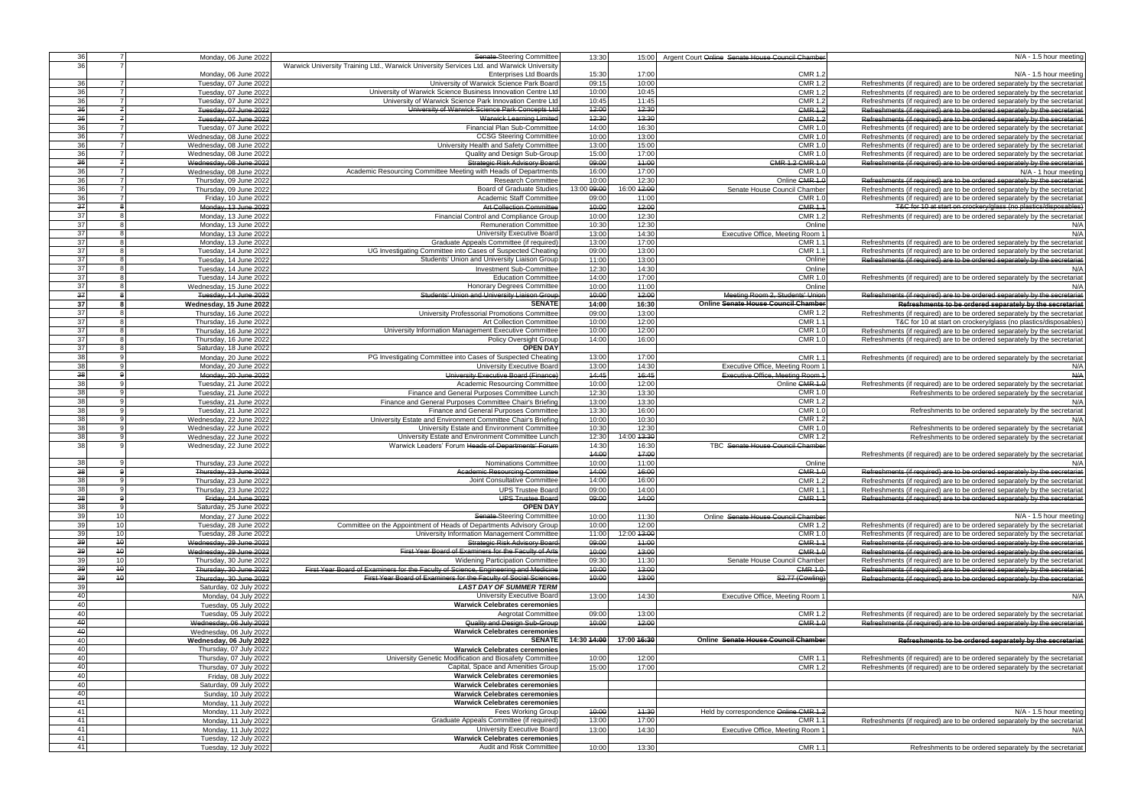| 36        | $\overline{7}$  | Monday, 06 June 2022                           | Senate-Steering Committee                                                                 | 13:30          | 15:00          | Argent Court Online Senate House Council Chamber | N/A - 1.5 hour meeting                                                                                                                                                                                                                                                                                                                                                                                                                                                                                                                                      |
|-----------|-----------------|------------------------------------------------|-------------------------------------------------------------------------------------------|----------------|----------------|--------------------------------------------------|-------------------------------------------------------------------------------------------------------------------------------------------------------------------------------------------------------------------------------------------------------------------------------------------------------------------------------------------------------------------------------------------------------------------------------------------------------------------------------------------------------------------------------------------------------------|
| 36        |                 |                                                | Warwick University Training Ltd., Warwick University Services Ltd. and Warwick University |                |                |                                                  |                                                                                                                                                                                                                                                                                                                                                                                                                                                                                                                                                             |
|           |                 | Monday, 06 June 2022                           | <b>Enterprises Ltd Boards</b>                                                             | 15:30          | 17:00          | <b>CMR 1.2</b>                                   | N/A - 1.5 hour meeting                                                                                                                                                                                                                                                                                                                                                                                                                                                                                                                                      |
| 36        | $\overline{7}$  |                                                | University of Warwick Science Park Board                                                  | 09:15          | 10:00          | <b>CMR 1.2</b>                                   |                                                                                                                                                                                                                                                                                                                                                                                                                                                                                                                                                             |
|           | $\overline{7}$  | Tuesday, 07 June 2022                          |                                                                                           | 10:00          | 10:45          |                                                  | Refreshments (if required) are to be ordered separately by the secretariat                                                                                                                                                                                                                                                                                                                                                                                                                                                                                  |
| 36        |                 | Tuesday, 07 June 2022                          | University of Warwick Science Business Innovation Centre Ltd                              |                |                | <b>CMR 1.2</b>                                   | Refreshments (if required) are to be ordered separately by the secretariat                                                                                                                                                                                                                                                                                                                                                                                                                                                                                  |
| 36        | $\overline{7}$  | Tuesday, 07 June 2022                          | University of Warwick Science Park Innovation Centre Ltd                                  | 10:45          | 11:45          | <b>CMR 1.2</b>                                   | Refreshments (if required) are to be ordered separately by the secretariat                                                                                                                                                                                                                                                                                                                                                                                                                                                                                  |
| 36        | $\overline{z}$  | Tuesday, 07 June 2022                          | University of Warwick Science Park Concepts Ltd                                           | 42:00          | 42:30          | <b>CMR 1.2</b>                                   | Refreshments (if required) are to be ordered separately by the secretariat                                                                                                                                                                                                                                                                                                                                                                                                                                                                                  |
| 36        | $\overline{z}$  | Tuesday, 07 June 2022                          | <b>Warwick Learning Limited</b>                                                           | 42:30          | 43:30          | <b>CMR 1.2</b>                                   | Refreshments (if required) are to be ordered separately by the secretariat                                                                                                                                                                                                                                                                                                                                                                                                                                                                                  |
| 36        | <sup>7</sup>    | Tuesday, 07 June 2022                          | Financial Plan Sub-Committee                                                              | 14:00          | 16:30          | <b>CMR 1.0</b>                                   | Refreshments (if required) are to be ordered separately by the secretariat                                                                                                                                                                                                                                                                                                                                                                                                                                                                                  |
| 36        |                 | Wednesday, 08 June 2022                        | <b>CCSG Steering Committee</b>                                                            | 10:00          | 13:00          | <b>CMR 1.0</b>                                   | Refreshments (if required) are to be ordered separately by the secretariat                                                                                                                                                                                                                                                                                                                                                                                                                                                                                  |
| 36        | $\overline{7}$  | Wednesday, 08 June 2022                        | University Health and Safety Committee                                                    | 13:00          | 15:00          | <b>CMR 1.0</b>                                   | Refreshments (if required) are to be ordered separately by the secretariat                                                                                                                                                                                                                                                                                                                                                                                                                                                                                  |
| 36        | $\overline{7}$  | Wednesday, 08 June 2022                        | Quality and Design Sub-Group                                                              | 15:00          | 17:00          | <b>CMR 1.0</b>                                   | Refreshments (if required) are to be ordered separately by the secretariat                                                                                                                                                                                                                                                                                                                                                                                                                                                                                  |
| 36        |                 | Wednesday, 08 June 2022                        | <b>Strategic Risk Advisory Board</b>                                                      | 09:00          | 44:00          | GMR 1.2 GMR 1.0                                  | Refreshments (if required) are to be ordered separately by the secretariat                                                                                                                                                                                                                                                                                                                                                                                                                                                                                  |
| 36        |                 | Wednesday, 08 June 2022                        | Academic Resourcing Committee Meeting with Heads of Departments                           | 16:00          | 17:00          | <b>CMR 1.0</b>                                   | N/A - 1 hour meeting                                                                                                                                                                                                                                                                                                                                                                                                                                                                                                                                        |
| 36        |                 | Thursday, 09 June 2022                         | <b>Research Committee</b>                                                                 | 10:00          | 12:30          | Online CMR 1.0                                   | Refreshments (if required) are to be ordered separately by the secretariat                                                                                                                                                                                                                                                                                                                                                                                                                                                                                  |
| 36        |                 | Thursday, 09 June 2022                         | Board of Graduate Studies                                                                 | 13:00 09:00    | 16:00 42:00    | Senate House Council Chamber                     | Refreshments (if required) are to be ordered separately by the secretariat                                                                                                                                                                                                                                                                                                                                                                                                                                                                                  |
| 36        |                 | Friday, 10 June 2022                           | Academic Staff Committee                                                                  | 09:00          | 11:00          | <b>CMR 1.0</b>                                   | Refreshments (if required) are to be ordered separately by the secretariat                                                                                                                                                                                                                                                                                                                                                                                                                                                                                  |
| 37        |                 | Monday, 13 June 2022                           | <b>Art Collection Committee</b>                                                           | 40:00          | 42:00          | <b>CMR 1.1</b>                                   | T&C for 10 at start on crockery/glass (no plastics/disposables)                                                                                                                                                                                                                                                                                                                                                                                                                                                                                             |
| 37        |                 | Monday, 13 June 2022                           | Financial Control and Compliance Group                                                    | 10:00          | 12:30          | <b>CMR 1.2</b>                                   | Refreshments (if required) are to be ordered separately by the secretariat                                                                                                                                                                                                                                                                                                                                                                                                                                                                                  |
| 37        |                 | Monday, 13 June 2022                           | <b>Remuneration Committee</b>                                                             | 10:30          | 12:30          | Online                                           | N/A                                                                                                                                                                                                                                                                                                                                                                                                                                                                                                                                                         |
| 37        |                 | Monday, 13 June 2022                           | University Executive Board                                                                | 13:00          | 14:30          | Executive Office, Meeting Room 1                 | N/A                                                                                                                                                                                                                                                                                                                                                                                                                                                                                                                                                         |
| 37        |                 | Monday, 13 June 2022                           | Graduate Appeals Committee (if required)                                                  | 13:00          | 17:00          | <b>CMR 1.1</b>                                   | Refreshments (if required) are to be ordered separately by the secretariat                                                                                                                                                                                                                                                                                                                                                                                                                                                                                  |
| 37        |                 | Tuesday, 14 June 2022                          | UG Investigating Committee into Cases of Suspected Cheating                               | 09:00          | 13:00          | <b>CMR 1.1</b>                                   | Refreshments (if required) are to be ordered separately by the secretariat                                                                                                                                                                                                                                                                                                                                                                                                                                                                                  |
| 37        | $\mathsf{R}$    |                                                |                                                                                           |                |                | Online                                           |                                                                                                                                                                                                                                                                                                                                                                                                                                                                                                                                                             |
| 37        | -8              | Tuesday, 14 June 2022                          | Students' Union and University Liaison Group                                              | 11:00          | 13:00<br>14:30 | Online                                           | Refreshments (if required) are to be ordered separately by the secretariat                                                                                                                                                                                                                                                                                                                                                                                                                                                                                  |
|           | $\mathsf{R}$    | Tuesday, 14 June 2022                          | Investment Sub-Committee                                                                  | 12:30          |                |                                                  | N/A                                                                                                                                                                                                                                                                                                                                                                                                                                                                                                                                                         |
| 37        |                 | Tuesday, 14 June 2022                          | <b>Education Committee</b>                                                                | 14:00          | 17:00          | <b>CMR 1.0</b>                                   | Refreshments (if required) are to be ordered separately by the secretariat                                                                                                                                                                                                                                                                                                                                                                                                                                                                                  |
| 37        | $\mathsf{R}$    | Wednesday, 15 June 2022                        | <b>Honorary Degrees Committee</b>                                                         | 10:00          | 11:00          | Online                                           | N/A                                                                                                                                                                                                                                                                                                                                                                                                                                                                                                                                                         |
| 37        | $\mathbf{a}$    | Tuesday, 14 June 2022                          | Students' Union and University Liaison Group                                              | 40:00          | 42:00          | Meeting Room 2, Students' Union                  | Refreshments (if required) are to be ordered separately by the secretariat                                                                                                                                                                                                                                                                                                                                                                                                                                                                                  |
| 37        |                 | Wednesday, 15 June 2022                        | <b>SENATE</b>                                                                             | 14:00          | 16:30          | Online Senate House Council Chamber              | Refreshments to be ordered separately by the secretariat                                                                                                                                                                                                                                                                                                                                                                                                                                                                                                    |
| 37        |                 | Thursday, 16 June 2022                         | University Professorial Promotions Committee                                              | 09:00          | 13:00          | <b>CMR 1.2</b>                                   | Refreshments (if required) are to be ordered separately by the secretariat                                                                                                                                                                                                                                                                                                                                                                                                                                                                                  |
| 37        |                 | Thursday, 16 June 2022                         | <b>Art Collection Committee</b>                                                           | 10:00          | 12:00          | <b>CMR 1.1</b>                                   | T&C for 10 at start on crockery/glass (no plastics/disposables)                                                                                                                                                                                                                                                                                                                                                                                                                                                                                             |
| 37        |                 | Thursday, 16 June 2022                         | University Information Management Executive Committee                                     | 10:00          | 12:00          | <b>CMR 1.0</b>                                   | Refreshments (if required) are to be ordered separately by the secretariat                                                                                                                                                                                                                                                                                                                                                                                                                                                                                  |
| 37        |                 | Thursday, 16 June 2022                         | <b>Policy Oversight Group</b>                                                             | 14:00          | 16:00          | <b>CMR 1.0</b>                                   | Refreshments (if required) are to be ordered separately by the secretariat                                                                                                                                                                                                                                                                                                                                                                                                                                                                                  |
| 37        |                 | Saturday, 18 June 2022                         | <b>OPEN DAY</b>                                                                           |                |                |                                                  |                                                                                                                                                                                                                                                                                                                                                                                                                                                                                                                                                             |
| 38        |                 | Monday, 20 June 2022                           | PG Investigating Committee into Cases of Suspected Cheating                               | 13:00          | 17:00          | <b>CMR 1.1</b>                                   | Refreshments (if required) are to be ordered separately by the secretariat                                                                                                                                                                                                                                                                                                                                                                                                                                                                                  |
| 38        |                 | Monday, 20 June 2022                           | University Executive Board                                                                | 13:00          | 14:30          | Executive Office, Meeting Room 1                 | N/A                                                                                                                                                                                                                                                                                                                                                                                                                                                                                                                                                         |
| 38        |                 | Monday, 20 June 2022                           | University Executive Board (Finance)                                                      | 44:45          | 16:45          | Executive Office, Meeting Room 1                 | N/A                                                                                                                                                                                                                                                                                                                                                                                                                                                                                                                                                         |
| 38        |                 | Tuesday, 21 June 2022                          | Academic Resourcing Committee                                                             | 10:00          | 12:00          | Online CMR 1.0                                   | Refreshments (if required) are to be ordered separately by the secretariat                                                                                                                                                                                                                                                                                                                                                                                                                                                                                  |
| 38        |                 |                                                |                                                                                           |                |                | <b>CMR 1.0</b>                                   |                                                                                                                                                                                                                                                                                                                                                                                                                                                                                                                                                             |
| 38        |                 | Tuesday, 21 June 2022                          | Finance and General Purposes Committee Lunch                                              | 12:30          | 13:30          | <b>CMR 1.2</b>                                   | Refreshments to be ordered separately by the secretariat                                                                                                                                                                                                                                                                                                                                                                                                                                                                                                    |
|           |                 | Tuesday, 21 June 2022                          | Finance and General Purposes Committee Chair's Briefing                                   | 13:00          | 13:30          |                                                  | N/A                                                                                                                                                                                                                                                                                                                                                                                                                                                                                                                                                         |
| 38        | q               | Tuesday, 21 June 2022                          | Finance and General Purposes Committee                                                    | 13:30          | 16:00          | <b>CMR 1.0</b>                                   | Refreshments to be ordered separately by the secretariat                                                                                                                                                                                                                                                                                                                                                                                                                                                                                                    |
| 38        |                 | Wednesday, 22 June 2022                        | University Estate and Environment Committee Chair's Briefing                              | 10:00          | 10:30          | <b>CMR 1.2</b>                                   | N/A                                                                                                                                                                                                                                                                                                                                                                                                                                                                                                                                                         |
| 38        |                 | Wednesday, 22 June 2022                        | University Estate and Environment Committee                                               | 10:30          | 12:30          | <b>CMR 1.0</b>                                   | Refreshments to be ordered separately by the secretariat                                                                                                                                                                                                                                                                                                                                                                                                                                                                                                    |
| 38        |                 | Wednesday, 22 June 2022                        | University Estate and Environment Committee Lunch                                         | 12:30          | 14:00 43:30    | <b>CMR 1.2</b>                                   | Refreshments to be ordered separately by the secretariat                                                                                                                                                                                                                                                                                                                                                                                                                                                                                                    |
| 38        |                 | Wednesday, 22 June 2022                        | Warwick Leaders' Forum Heads of Departments' Forum                                        | 14:30          | 16:30          | TBC Senate House Council Chamber                 |                                                                                                                                                                                                                                                                                                                                                                                                                                                                                                                                                             |
|           |                 |                                                |                                                                                           | 44:00          | 47:00          |                                                  | Refreshments (if required) are to be ordered separately by the secretariat                                                                                                                                                                                                                                                                                                                                                                                                                                                                                  |
| 38        |                 | Thursday, 23 June 2022                         | <b>Nominations Committee</b>                                                              | 10:00          | 11:00          | Online                                           |                                                                                                                                                                                                                                                                                                                                                                                                                                                                                                                                                             |
| 38        |                 | Thursday, 23 June 2022                         | <b>Academic Resourcing Committee</b>                                                      | 44:00          | 46:00          | <b>CMR 1.0</b>                                   | Refreshments (if required) are to be ordered separately by the secretariat                                                                                                                                                                                                                                                                                                                                                                                                                                                                                  |
| 38        |                 | Thursday, 23 June 2022                         | Joint Consultative Committee                                                              | 14:00          | 16:00          | CMR 1.2                                          | Refreshments (if required) are to be ordered separately by the secretariat                                                                                                                                                                                                                                                                                                                                                                                                                                                                                  |
| 38        |                 | Thursday, 23 June 2022                         | <b>UPS Trustee Board</b>                                                                  | 09:00          | 14:00          | <b>CMR 1.1</b>                                   | Refreshments (if required) are to be ordered separately by the secretariat                                                                                                                                                                                                                                                                                                                                                                                                                                                                                  |
| 38        |                 | Friday, 24 June 2022                           | <b>UPS Trustee Board</b>                                                                  | 09:00          | 44:00          | <b>CMR 1.1</b>                                   | Refreshments (if required) are to be ordered separately by the secretariat                                                                                                                                                                                                                                                                                                                                                                                                                                                                                  |
| 38        |                 | Saturday, 25 June 2022                         | <b>OPEN DAY</b>                                                                           |                |                |                                                  |                                                                                                                                                                                                                                                                                                                                                                                                                                                                                                                                                             |
| 39        | 10 <sup>1</sup> | Monday, 27 June 2022                           | Senate-Steering Committee                                                                 | 10:00          | 11:30          | Online Senate House Council Chamber              | N/A - 1.5 hour meeting                                                                                                                                                                                                                                                                                                                                                                                                                                                                                                                                      |
| 39        | 10              | Tuesday, 28 June 2022                          | Committee on the Appointment of Heads of Departments Advisory Group                       | 10:00          | 12:00          | <b>CMR 1.2</b>                                   | Refreshments (if required) are to be ordered separately by the secretariat                                                                                                                                                                                                                                                                                                                                                                                                                                                                                  |
| 39        | 10              | Tuesday, 28 June 2022                          | University Information Management Committee                                               | 11:00          | 12:00 13:00    | <b>CMR 1.0</b>                                   | Refreshments (if required) are to be ordered separately by the secretariat                                                                                                                                                                                                                                                                                                                                                                                                                                                                                  |
| 39        | 40              | Wednesday, 29 June 2022                        | <b>Strategic Risk Advisory Board</b>                                                      | 09:00          | 44:00          | <b>CMR 1.1</b>                                   | Refreshments (if required) are to be ordered separately by the secretariat                                                                                                                                                                                                                                                                                                                                                                                                                                                                                  |
| 39        | $\overline{40}$ | Wednesday, 29 June 2022                        | First Year Board of Examiners for the Faculty of Arts                                     | 40:00          | 43:00          | <b>CMR 1.0</b>                                   | Refreshments (if required) are to be ordered separately by the secretariat                                                                                                                                                                                                                                                                                                                                                                                                                                                                                  |
| 39        | 10              | Thursday, 30 June 2022                         | <b>Widening Participation Committee</b>                                                   | 09:30          | 11:30          | Senate House Council Chamber                     | Refreshments (if required) are to be ordered separately by the secretariat                                                                                                                                                                                                                                                                                                                                                                                                                                                                                  |
| 39        | $\overline{40}$ |                                                | First Year Board of Examiners for the Faculty of Science. Engineering and Medicine        |                | 43:00          | <b>CMR 1.0</b>                                   |                                                                                                                                                                                                                                                                                                                                                                                                                                                                                                                                                             |
| 39        | 40              | Thursday, 30 June 2022                         | First Year Board of Examiners for the Faculty of Social Sciences                          | 40:00<br>40:00 | 43:00          | S2.77 (Cowling)                                  | Refreshments (if required) are to be ordered separately by the secretariat                                                                                                                                                                                                                                                                                                                                                                                                                                                                                  |
|           |                 | Thursday, 30 June 2022                         |                                                                                           |                |                |                                                  | Refreshments (if required) are to be ordered separately by the secretariat                                                                                                                                                                                                                                                                                                                                                                                                                                                                                  |
| 39        |                 |                                                |                                                                                           |                |                |                                                  |                                                                                                                                                                                                                                                                                                                                                                                                                                                                                                                                                             |
|           |                 | Saturday, 02 July 2022                         | <b>LAST DAY OF SUMMER TERM</b>                                                            |                |                |                                                  |                                                                                                                                                                                                                                                                                                                                                                                                                                                                                                                                                             |
| 40        |                 | Monday, 04 July 2022                           | University Executive Board                                                                | 13:00          | 14:30          | Executive Office, Meeting Room 1                 |                                                                                                                                                                                                                                                                                                                                                                                                                                                                                                                                                             |
| 40        |                 | Tuesday, 05 July 2022                          | <b>Warwick Celebrates ceremonies</b>                                                      |                |                |                                                  | N/A                                                                                                                                                                                                                                                                                                                                                                                                                                                                                                                                                         |
| 40        |                 | Tuesday, 05 July 2022                          | <b>Aegrotat Committee</b>                                                                 | 09:00          | 13:00          | <b>CMR 1.2</b>                                   |                                                                                                                                                                                                                                                                                                                                                                                                                                                                                                                                                             |
| $4\theta$ |                 | Wednesday, 06 July 2022                        | Quality and Design Sub-Group                                                              | 40:00          | 42:00          | <b>CMR 1.0</b>                                   |                                                                                                                                                                                                                                                                                                                                                                                                                                                                                                                                                             |
| 40        |                 | Wednesday, 06 July 2022                        | <b>Warwick Celebrates ceremonies</b>                                                      |                |                |                                                  |                                                                                                                                                                                                                                                                                                                                                                                                                                                                                                                                                             |
| 40        |                 | Wednesday, 06 July 2022                        | <b>SENATE</b>                                                                             | 14:30 44:00    | 17:00 46:30    | Online Senate House Council Chamber              |                                                                                                                                                                                                                                                                                                                                                                                                                                                                                                                                                             |
| 40        |                 | Thursday, 07 July 2022                         | <b>Warwick Celebrates ceremonies</b>                                                      |                |                |                                                  |                                                                                                                                                                                                                                                                                                                                                                                                                                                                                                                                                             |
| 40        |                 | Thursday, 07 July 2022                         | University Genetic Modification and Biosafety Committee                                   | 10:00          | 12:00          | <b>CMR 1.1</b>                                   |                                                                                                                                                                                                                                                                                                                                                                                                                                                                                                                                                             |
| 40        |                 | Thursday, 07 July 2022                         | Capital, Space and Amenities Group                                                        | 15:00          | 17:00          | <b>CMR 1.2</b>                                   |                                                                                                                                                                                                                                                                                                                                                                                                                                                                                                                                                             |
| 40        |                 |                                                | <b>Warwick Celebrates ceremonies</b>                                                      |                |                |                                                  |                                                                                                                                                                                                                                                                                                                                                                                                                                                                                                                                                             |
|           |                 | Friday, 08 July 2022                           |                                                                                           |                |                |                                                  |                                                                                                                                                                                                                                                                                                                                                                                                                                                                                                                                                             |
| 40        |                 | Saturday, 09 July 2022                         | <b>Warwick Celebrates ceremonies</b>                                                      |                |                |                                                  |                                                                                                                                                                                                                                                                                                                                                                                                                                                                                                                                                             |
| 40        |                 | Sunday, 10 July 2022                           | <b>Warwick Celebrates ceremonies</b>                                                      |                |                |                                                  |                                                                                                                                                                                                                                                                                                                                                                                                                                                                                                                                                             |
| 41        |                 | Monday, 11 July 2022                           | <b>Warwick Celebrates ceremonies</b>                                                      |                |                |                                                  |                                                                                                                                                                                                                                                                                                                                                                                                                                                                                                                                                             |
| 41        |                 | Monday, 11 July 2022                           | <b>Fees Working Group</b>                                                                 | 40:00          | 44:30          | Held by correspondence Online CMR 1.2            |                                                                                                                                                                                                                                                                                                                                                                                                                                                                                                                                                             |
| 41        |                 | Monday, 11 July 2022                           | Graduate Appeals Committee (if required)                                                  | 13:00          | 17:00          | <b>CMR 1.1</b>                                   |                                                                                                                                                                                                                                                                                                                                                                                                                                                                                                                                                             |
| 41        |                 | Monday, 11 July 2022                           | University Executive Board                                                                | 13:00          | 14:30          | Executive Office, Meeting Room 1                 |                                                                                                                                                                                                                                                                                                                                                                                                                                                                                                                                                             |
| 41<br>41  |                 | Tuesday, 12 July 2022<br>Tuesday, 12 July 2022 | <b>Warwick Celebrates ceremonies</b><br>Audit and Risk Committee                          | 10:00          | 13:30          | <b>CMR 1.1</b>                                   | Refreshments (if required) are to be ordered separately by the secretariat<br>Refreshments (if required) are to be ordered separately by the secretariat<br>Refreshments to be ordered separately by the secretariat<br>Refreshments (if required) are to be ordered separately by the secretariat<br>Refreshments (if required) are to be ordered separately by the secretariat<br>N/A - 1.5 hour meeting<br>Refreshments (if required) are to be ordered separately by the secretariat<br>N/A<br>Refreshments to be ordered separately by the secretariat |